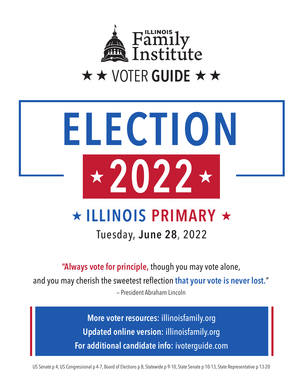

# **ELECTION 2022**

## **ILLINOIS PRIMARY**

Tuesday, **June 28**, 2022

**"Always vote for principle,** though you may vote alone,

and you may cherish the sweetest reflection **that your vote is never lost.**"

— President Abraham Lincoln

**More voter resources:** illinoisfamily.org **Updated online version:** illinoisfamily.org **For additional candidate info:** ivoterguide.com

US Senate p 4, US Congressional p 4-7, Board of Elections p 8, Statewide p 9-10, State Senate p 10-13, State Representative p 13-20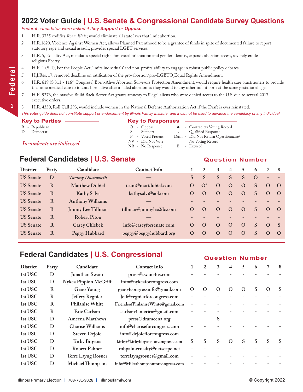#### **2022 Voter Guide | U.S. Senate & Congressional Candidate Survey Questions**

#### *Federal candidates were asked if they Support or Oppose:*

- 1 | H.R. 3755 codifies *Roe v Wad*e; would eliminate all state laws that limit abortion.
- 2 | H.R.1620, Violence Against Women Act, allows Planned Parenthood to be a grantee of funds in spite of documented failure to report statutory rape and sexual assault; provides special LGBT services.
- 3 | H.R. 5, Equality Act, mandates special rights for sexual orientation and gender identity, expands abortion access, severely erodes religious liberty.
- 4 | H.R. 1 (S. 1), For the People Act, limits individuals' and non-profits' ability to engage in robust public policy debates.
- 5 | H.J.Res. 17, removed deadline on ratification of the pro-abortion/pro-LGBTQ Equal Rights Amendment.
- H.R. 619 (S.311 116<sup>th</sup> Congress) Born-Alive Abortion Survivors Protection Amendment, would require health care practitioners to provide the same medical care to infants born alive after a failed abortion as they would to any other infant born at the same gestational age.
- 7 | H.R. 5376, the massive Build Back Better Act grants amnesty to illegal aliens who were denied access to the U.S. due to several 2017 executive orders.
- 8 | H.R. 4350, Roll Call 293, would include women in the National Defense Authorization Act if the Draft is ever reinstated.

#### *This voter guide does not constitute support or endorsement by Illinois Family Institute, and it cannot be used to advance the candidacy of any individual.*

- 
- 

## **Key to Parties Key to Responses**

- R Republican O Oppose l Contradicts Voting Record D - Democrat S - Support \* - Qualified Response P - Voted Present Dash - Did Not Return Questionnaire/
	-
- *Incumbents are italicized.* NV Did Not Vote No Voting Record<br>
NR No Response B Excused

#### **Federal Candidates | U.S. Senate Question Number**

| <b>District</b>  | Party | Candidate                | <b>Contact Info</b>     |              | 2        | 3            | $\overline{\mathbf{4}}$ | 5.       | -6           |                          | - 8      |
|------------------|-------|--------------------------|-------------------------|--------------|----------|--------------|-------------------------|----------|--------------|--------------------------|----------|
| <b>US</b> Senate | D     | Tammy Duckworth          |                         | <sub>S</sub> | S        | <sub>S</sub> | S                       | S        | $\Omega$     | $\overline{\phantom{0}}$ |          |
| <b>US</b> Senate | R     | <b>Matthew Dubiel</b>    | team@mattdubiel.com     | $\Omega$     | $O^*$    | $\Omega$     | $\Omega$                | $\Omega$ | <sub>S</sub> | $\Omega$                 | $\Omega$ |
| <b>US</b> Senate | R     | Kathy Salvi              | kathysalvi@aol.com      | $\Omega$     | $\Omega$ | $\Omega$     | $\Omega$                | $\Omega$ | S            | $\Omega$                 | $\Omega$ |
| <b>US</b> Senate | R     | <b>Anthony Williams</b>  |                         |              |          |              |                         |          |              |                          |          |
| <b>US</b> Senate | R     | <b>Jimmy Lee Tillman</b> | tillman@jimmylee2dc.com | $\Omega$     | $\Omega$ | $\lambda$    | $\Omega$                | $\Omega$ | S            | $\Omega$                 | $\Omega$ |
| <b>US</b> Senate | R     | <b>Robert Piton</b>      |                         |              |          |              |                         |          |              |                          |          |
| <b>US</b> Senate | R     | <b>Casey Chlebek</b>     | info@caseyforsenate.com | $\Omega$     | $\Omega$ | $\Omega$     | $\Omega$                | $\Omega$ | S            | $\Omega$                 | - S      |
| <b>US</b> Senate | R     | Peggy Hubbard            | peggy@peggyhubbard.org  | $\Omega$     | $\Omega$ | $\Omega$     | $\Omega$                | $\Omega$ | S            | $\Omega$                 | $\Omega$ |

#### **Federal Candidates | U.S. Congressional <b>Question Number**

| <b>District</b> | Party | Candidate               | <b>Contact Info</b>               |           | 2         | 3         | 4        | 5         | h |                  | 8 |
|-----------------|-------|-------------------------|-----------------------------------|-----------|-----------|-----------|----------|-----------|---|------------------|---|
| 1st USC         | D     | Jonathan Swain          | press@swain4us.com                |           |           |           |          |           |   |                  |   |
| 1st USC         | D     | Nykea Pippion McGriff   | info@nykeaforcongress.com         |           |           |           |          |           |   |                  |   |
| 1st USC         | R     | Geno Young              | geno4congressinfo@gmail.com       | $\lambda$ | $\lambda$ | $\lambda$ | O        | $\lambda$ | S | $\left( \right)$ | S |
| 1st USC         | R     | Jeffery Regnier         | Jeff@regnierforcongress.com       |           |           |           |          |           |   |                  |   |
| 1st USC         | R     | <b>Philanise White</b>  | FriendsofPhilaniseWhite@gmail.com |           |           |           |          |           |   |                  |   |
| 1st USC         | R     | <b>Eric Carlson</b>     | carlson4america@gmail.com         |           |           |           |          |           |   |                  |   |
| 1st USC         | D     | Ameena Matthews         | press@drameena.org                |           |           | S         |          |           |   |                  |   |
| 1st USC         | D     | <b>Charise Williams</b> | info@chariseforcongress.com       |           |           |           |          |           |   |                  |   |
| 1st USC         | D     | <b>Steven Dejoie</b>    | info@dejoiefforcongress.com       |           |           |           |          |           |   |                  |   |
| 1st USC         | D     | <b>Kirby Birgans</b>    | kirby@kirbybirgansforcongress.com | S         | S         | S         | $\Omega$ | S         | S | S                | S |
| 1st USC         | D     | <b>Robert Palmer</b>    | robpalmerrealty@netscape.net      |           |           |           |          |           |   |                  |   |
| 1st USC         | D     | Terre Layng Rosner      | terrelayngrosner@gmail.com        |           |           |           |          |           |   |                  |   |
| 1st USC         | D     | Michael Thompson        | info@Mikethompsonforcongress.com  |           |           |           |          |           |   |                  |   |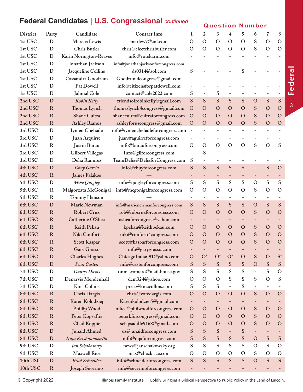## **Federal Candidates | U.S. Congressional** *continued...* Question Number

**Federal**

**3**

| <b>District</b> | Party        | Candidate               | <b>Contact Info</b>                 | 1                        | 2                        | 3                 | 4                        | 5                        | 6                        | 7                        | 8              |
|-----------------|--------------|-------------------------|-------------------------------------|--------------------------|--------------------------|-------------------|--------------------------|--------------------------|--------------------------|--------------------------|----------------|
| 1st USC         | D            | Marcus Lewis            | marlew7@aol.com                     | $\mathcal{O}$            | $\mathbf O$              | $\mathbf O$       | O                        | $\mathbf O$              | S                        | $\mathbf O$              | $\mathcal{O}$  |
| 1st USC         | D            | Chris Butler            | chris@electchrisbutler.com          | $\mathcal{O}$            | $\mathbf O$              | $\mathbf O$       | O                        | $\mathcal{O}$            | S                        | $\mathbf O$              | $\mathcal{O}$  |
| 1st USC         | D            | Karin Norington-Reaves  | info@votekarin.com                  | $\overline{\phantom{0}}$ |                          |                   |                          |                          |                          |                          |                |
| 1st USC         | D            | Jonathan Jackson        | info@jonathanjacksonforcongress.com |                          |                          |                   |                          |                          |                          |                          |                |
| 1st USC         | D            | Jacqueline Collins      | ds0314@aol.com                      | ${\bf S}$                |                          |                   |                          | S                        |                          |                          |                |
| 1st USC         | D            | Cassandra Goodrum       | Goodrum4congress@gmail.com          |                          |                          |                   |                          |                          |                          |                          |                |
| 1st USC         | D            | Pat Dowell              | info@citizensforpatdowell.com       |                          |                          |                   |                          |                          |                          |                          |                |
| 1st USC         | D            | <b>Jahmal Cole</b>      | contact@cole2022.com                | ${\bf S}$                |                          | ${\bf S}$         |                          |                          |                          |                          |                |
| 2nd USC         | D            | Robin Kelly             | friendsofrobinkelly@gmail.com       | ${\bf S}$                | S                        | S                 | S                        | S                        | $\mathbf O$              | ${\bf S}$                | S              |
| 2nd USC         | $\mathbf R$  | Thomas Lynch            | thomaslynch4congress@gmail.com      | $\mathbf O$              | $\mathbf O$              | $\mathbf O$       | $\mathbf O$              | $\mathbf O$              | S                        | $\mathbf O$              | $\mathbf{O}$   |
| 2nd USC         | $\mathbf R$  | <b>Shane Cultra</b>     | shanecultra@cultraforcongress.com   | $\mathbf{O}$             | $\mathbf O$              | $\mathbf O$       | $\Omega$                 | $\mathbf{O}$             | S                        | $\mathbf O$              | $\mathbf{O}$   |
| 2nd USC         | $\mathbf R$  | <b>Ashley Ramos</b>     | ashleyforuscongress@gmail.com       | $\mathbf{O}$             | $\mathbf O$              | $\mathbf O$       | $\Omega$                 | $\mathbf O$              | S                        | $\mathbf O$              | $\mathbf{O}$   |
| 3rd USC         | D            | Iymen Chehade           | info@iymenchehadeforcongress.com    | $\overline{\phantom{a}}$ |                          |                   |                          |                          |                          |                          |                |
| 3rd USC         | D            | Juan Arguirre           | juan@aguirreforcongress.com         | $\overline{a}$           |                          |                   |                          |                          | $\overline{\phantom{a}}$ |                          |                |
| 3rd USC         | $\bf R$      | <b>Justin Burau</b>     | info@burauforcongress.com           | $\mathbf O$              | $\mathbf O$              | $\mathbf{O}$      | $\mathbf{O}$             | $\mathbf O$              | S                        | $\mathbf O$              | S              |
| 3rd USC         | D            | <b>Gilbert Villegas</b> | Info@gilforcongress.com             | $\overline{\phantom{a}}$ | S                        |                   |                          |                          |                          |                          |                |
| 3rd USC         | D            | Delia Ramirez           | TeamDelia@DeliaforCongress.com      | S                        | $\overline{\phantom{a}}$ |                   |                          |                          | $\overline{\phantom{0}}$ |                          |                |
| 4th USC         | D            | Chuy Garcia             | info@chuyforcongress.com            | ${\bf S}$                | S                        | S                 | S                        | S                        | $\equiv$                 | S                        | $\mathbf O$    |
| 4th USC         | $\mathbb{R}$ | <b>James Falakos</b>    |                                     | -                        | $\qquad \qquad -$        | $\qquad \qquad -$ | $\overline{\phantom{a}}$ | $\overline{\phantom{a}}$ | $\overline{\phantom{a}}$ |                          |                |
| 5th USC         | D            | Mike Quigley            | info@quigleyforcongress.com         | ${\bf S}$                | ${\bf S}$                | S                 | S                        | ${\bf S}$                | $\mathbf O$              | ${\bf S}$                | S              |
| 5th USC         | $\bf R$      | Malgorzata McGonigal    | info@mcgonigalforcongress.com       | $\mathbf O$              | $\mathbf O$              | $\mathbf{O}$      | $\Omega$                 | $\mathcal{O}$            | ${\bf S}$                | $\mathbf O$              | $\mathbf{O}$   |
| 5th USC         | $\mathbf R$  | <b>Tommy Hanson</b>     |                                     |                          |                          |                   |                          |                          | $\overline{\phantom{0}}$ |                          |                |
| 6th USC         | D            | <b>Marie Newman</b>     | info@marienewmanforcongress.com     | ${\bf S}$                | S                        | S                 | S                        | S                        | $\mathbf O$              | S                        | S              |
| 6th USC         | $\mathbf R$  | <b>Robert Cruz</b>      | rob@robcruzforcongress.com          | $\mathbf O$              | $\mathbf O$              | $\mathbf O$       | $\mathbf O$              | $\mathbf O$              | S                        | $\mathbf O$              | $\mathbf O$    |
| 6th USC         | $\mathbf R$  | Catherine O'Shea        | osheaforcongress@yahoo.com          | -                        | $\qquad \qquad -$        |                   |                          |                          | $\qquad \qquad -$        |                          |                |
| 6th USC         | $\mathbf R$  | <b>Keith Pekau</b>      | kpekau@keithpekau.com               | $\mathbf O$              | $\mathbf O$              | $\mathbf O$       | $\mathbf O$              | $\mathbf O$              | ${\bf S}$                | $\mathbf O$              | $\mathbf{O}$   |
| 6th USC         | $\mathbf R$  | Niki Conforti           | niki@conforti4congress.com          | $\mathbf O$              | $\mathbf O$              | $\mathbf O$       | $\Omega$                 | $\mathbf O$              | S                        | $\mathbf O$              | $\mathbf{O}$   |
| 6th USC         | $\mathbf R$  | <b>Scott Kaspar</b>     | scott@kasparforcongress.com         | $\mathbf O$              | $\mathbf O$              | $\mathbf{O}$      | $\mathbf O$              | $\mathbf O$              | S                        | $\mathbf O$              | $\mathbf{O}$   |
| 6th USC         | $\mathbf R$  | Gary Grasso             | info@garygrasso.com                 |                          |                          |                   |                          |                          |                          |                          |                |
| 6th USC         | D            | <b>Charles Hughes</b>   | ChicagoItalian91@yahoo.com          | $\mathbf O$              | $O^*$                    | $O^*$             | $O^*$                    | $\mathbf O$              | S                        | $\mathbf{O}$             | $\mathbf{S}^*$ |
| 6th USC         | $\mathbf D$  | Sean Casten             | info@castenforcongress.com          | ${\bf S}$                | ${\bf S}$                | S                 | ${\bf S}$                | ${\bf S}$                | $\mathbf O$              | ${\mathbf S}$            | S              |
| 7th USC         | D            | Danny Davis             | tumia.romero@mail.house.gov         | ${\bf S}$                | S                        | S                 | S                        | S                        | $\overline{\phantom{a}}$ | ${\mathbf S}$            | $\mathbf O$    |
| 7th USC         | D            | Denarvis Mendenhall     | dcm324@yahoo.com                    | $\mathcal{O}$            | $\mathbf O$              | $\mathbf O$       | S                        | S                        | S                        | $\mathcal{O}$            | S              |
| 7th USC         | D            | Kina Collins            | press@kinacollins.com               | S                        | S                        | ${\mathbf S}$     |                          | S                        | $\overline{\phantom{a}}$ | $\overline{\phantom{0}}$ |                |
| 8th USC         | $\mathbf R$  | <b>Chris Dargis</b>     | chris@votedargis.com                | $\mathbf{O}$             | $\mathbf O$              | $\mathbf O$       | $\mathbf O$              | $\mathbf O$              | S                        | $\overline{O}$           | $\mathbf O$    |
| 8th USC         | $\mathbf R$  | Karen Kolodziej         | Karenkolodziej5@gmail.com           | -                        | $\qquad \qquad -$        | $\qquad \qquad -$ |                          | $\overline{\phantom{a}}$ | $\overline{\phantom{a}}$ |                          |                |
| 8th USC         | $\mathbf R$  | <b>Phillip Wood</b>     | office@philwoodforcongress.com      | $\mathbf O$              | $\mathbf O$              | $\mathbf O$       | $\mathbf O$              | $\mathbf O$              | S                        | $\mathbf O$              | $\mathbf O$    |
| 8th USC         | $\mathbf R$  | Peter Kopsaftis         | peterkforcongress@gmail.com         | $\mathbf O$              | $\mathbf O$              | $\mathbf O$       | $\mathbf{O}$             | $\mathbf O$              | S                        | $\mathbf O$              | $\mathbf O$    |
| 8th USC         | $\mathbf R$  | <b>Chad Koppie</b>      | sclapsaddle9168@gmail.com           | $\mathbf O$              | $\mathbf O$              | $\mathbf O$       | $\mathbf O$              | $\mathbf O$              | S                        | $\mathbf O$              | $\mathbf{O}$   |
| 8th USC         | D            | <b>Junaid Ahmed</b>     | us@junaidforcongress.com            | S                        | S                        | S                 |                          | S                        | $\overline{\phantom{a}}$ |                          |                |
| 8th USC         | $\mathbf D$  | Raja Krishnamoorthi     | info@rajaforcongress.com            | S                        | ${\bf S}$                | S                 | ${\bf S}$                | ${\bf S}$                | $\mathbf O$              | ${\bf S}$                | ${\bf S}$      |
| 9th USC         | D            | Jan Schakowsky          | news@janschakowsky.org              | S                        | S                        | ${\mathbf S}$     | S                        | S                        | $\mathbf O$              | ${\mathbf S}$            | $\mathbf O$    |
| 9th USC         | $\mathbf R$  | <b>Maxwell Rice</b>     | max@checkrice.com                   | $\mathcal{O}$            | $\mathbf O$              | $\mathbf O$       | O                        | $\mathbf O$              | S                        | $\mathcal{O}$            | $\mathbf O$    |
| 10th USC        | $\mathbf D$  | <b>Brad Schneider</b>   | info@schneiderforcongress.com       | S                        | S                        | S                 | S                        | S                        | $\overline{O}$           | ${\bf S}$                | ${\bf S}$      |
| 10th USC        | $\mathbf R$  | <b>Joseph Severino</b>  | info@severinoforcongress.com        | ÷                        |                          |                   |                          |                          |                          |                          |                |

© Copyright 2022 Illinois Family Institute | Boldly Bringing a Biblical Perspective to Public Policy in the Land of Lincoln.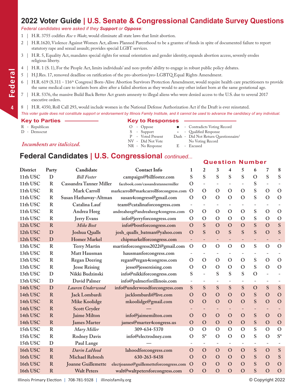#### **2022 Voter Guide | U.S. Senate & Congressional Candidate Survey Questions**

#### *Federal candidates were asked if they Support or Oppose:*

- 1 | H.R. 3755 codifies *Roe v Wad*e; would eliminate all state laws that limit abortion.
- 2 | H.R.1620, Violence Against Women Act, allows Planned Parenthood to be a grantee of funds in spite of documented failure to report statutory rape and sexual assault; provides special LGBT services.
- 3 | H.R. 5, Equality Act, mandates special rights for sexual orientation and gender identity, expands abortion access, severely erodes religious liberty.
- 4 | H.R. 1 (S. 1), For the People Act, limits individuals' and non-profits' ability to engage in robust public policy debates.
- 5 | H.J.Res. 17, removed deadline on ratification of the pro-abortion/pro-LGBTQ Equal Rights Amendment.
- H.R. 619 (S.311 116<sup>th</sup> Congress) Born-Alive Abortion Survivors Protection Amendment, would require health care practitioners to provide the same medical care to infants born alive after a failed abortion as they would to any other infant born at the same gestational age.
- 7 | H.R. 5376, the massive Build Back Better Act grants amnesty to illegal aliens who were denied access to the U.S. due to several 2017 executive orders.
- 8 | H.R. 4350, Roll Call 293, would include women in the National Defense Authorization Act if the Draft is ever reinstated.

#### *This voter guide does not constitute support or endorsement by Illinois Family Institute, and it cannot be used to advance the candidacy of any individual.*

- 
- 

## **Key to Parties Key to Responses**

R - Republican O - Oppose l - Contradicts Voting Record

**Question Number**

- 
- D Democrat S Support \* Qualified Response P Voted Present Dash Did Not Return Questionnaire/ *NV* - Did Not Vote No Voting Record<br>
NR - No Response B - Excused
	-
	-

#### **Federal Candidates | U.S. Congressional** *continued...*

| <b>District</b> | Party        | Candidate                 | <b>Contact Info</b>                    | 1                        | $\overline{2}$           | 3                        | 4                        | 5                        | 6                        | 7                        | 8              |
|-----------------|--------------|---------------------------|----------------------------------------|--------------------------|--------------------------|--------------------------|--------------------------|--------------------------|--------------------------|--------------------------|----------------|
| 11th USC        | D            | <b>Bill Foster</b>        | campaign@billfoster.com                | S                        | S                        | S                        | S                        | S                        | $\mathcal{O}$            | S                        | S              |
| 11th USC        | $\mathbf R$  | Cassandra Tanner Miller   | facebook.com/cassandratannermiller     | $\mathbf{O}$             | $\overline{\phantom{a}}$ |                          |                          |                          | S                        |                          |                |
| 11th USC        | R            | <b>Mark Carroll</b>       | markcarroll@markcarrollforcongress.com | $\Omega$                 | $\Omega$                 | $\Omega$                 | $\mathcal{O}$            | $\Omega$                 | S                        | $\mathbf{O}$             | $\Omega$       |
| 11th USC        | $\mathbf R$  | Susan Hathaway-Altman     | susan4congress@gmail.com               | $\mathbf{O}$             | $\mathbf O$              | $\mathbf O$              | $\Omega$                 | $\Omega$                 | S                        | $\mathbf O$              | $\mathbf O$    |
| 11th USC        | R            | Catalina Lauf             | team@catalinaforcongress.com           |                          | $\overline{\phantom{a}}$ | $\qquad \qquad -$        | $\overline{\phantom{0}}$ |                          | $\overline{\phantom{0}}$ | $\overline{\phantom{a}}$ |                |
| 11th USC        | $\mathbf R$  | Andrea Heeg               | andreaheeg@andreaheeg4congress.com     | O                        | $\mathbf O$              | $\mathbf{O}$             | $\mathbf O$              | O                        | S                        | $\mathbf{O}$             | $\mathcal{O}$  |
| 11th USC        | $\mathbf R$  | <b>Jerry Evans</b>        | info@jerryforcongress.com              | $\Omega$                 | $\mathbf O$              | $\Omega$                 | $\Omega$                 | $\Omega$                 | S                        | $\mathbf{O}$             | $\mathcal{O}$  |
| 12th USC        | R            | Mike Bost                 | info@bostforcongress.com               | $\mathbf{O}$             | S                        | $\mathbf{O}$             | $\Omega$                 | $\Omega$                 | S                        | $\overline{O}$           | S              |
| 12th USC        | D            | Joshua Qualls             | josh_qualls_batman@yahoo.com           | $\mathbf{O}$             | S                        | $\overline{O}$           | S                        | S                        | S                        | $\overline{O}$           | S              |
| 12th USC        | D            | <b>Homer Markel</b>       | chipmarkelforcongress.com              | $\overline{\phantom{a}}$ | $\qquad \qquad -$        | -                        | -                        | $\overline{\phantom{a}}$ | $\qquad \qquad -$        | $\overline{\phantom{a}}$ |                |
| 13th USC        | $\mathbb{R}$ | <b>Terry Martin</b>       | martinforcongress2022@gmail.com        | $\Omega$                 | $\mathbf O$              | $\mathbf O$              | $\mathbf{O}$             | $\mathbf O$              | S                        | $\mathbf{O}$             | $\mathcal{O}$  |
| 13th USC        | R            | Matt Hausman              | hausmanforcongress.com                 |                          | $\overline{\phantom{a}}$ | -                        |                          |                          |                          | $\overline{\phantom{m}}$ |                |
| 13th USC        | $\mathbb{R}$ | <b>Regan Deering</b>      | regan@regan4congress.com               | $\Omega$                 | $\mathbf O$              | $\mathbf O$              | $\mathbf{O}$             | $\Omega$                 | ${\bf S}$                | $\mathcal{O}$            | $\mathcal{O}$  |
| 13th USC        | $\mathbf R$  | <b>Jesse Reising</b>      | jesse@jessereising.com                 | $\Omega$                 | $\mathbf O$              | $\mathbf O$              | $\Omega$                 | $\Omega$                 | S                        | $\mathcal{O}$            | $\mathcal{O}$  |
| 13th USC        | D            | Nikki Budzinski           | info@nikkiforcongress.com              | S                        | $\bar{ }$                | S                        | S                        | S                        | $\mathbf O$              | $\overline{a}$           |                |
| 13th USC        | D            | David Palmer              | info@palmerforillinois.com             | $\overline{\phantom{a}}$ | $\overline{\phantom{a}}$ | $\overline{\phantom{a}}$ |                          |                          | $\overline{\phantom{a}}$ | $\overline{\phantom{a}}$ |                |
| 14th USC        | D            | Lauren Underwood          | info@underwoodforcongress.com          | S                        | ${\bf S}$                | ${\bf S}$                | S                        | S                        | $\mathbf O$              | S                        | S              |
| 14th USC        | $\mathbf R$  | Jack Lombardi             | jacklombardi@live.com                  | $\Omega$                 | $\overline{O}$           | $\mathbf O$              | $\mathbf O$              | $\Omega$                 | ${\bf S}$                | $\mathbf O$              | $\mathbf O$    |
| 14th USC        | $\mathbf R$  | <b>Mike Koolidge</b>      | mkoolidge@gmail.com                    | $\mathbf{O}$             | $\overline{O}$           | $\mathbf O$              | $\mathbf O$              | $\Omega$                 | S                        | $\mathbf O$              | $\mathbf O$    |
| 14th USC        | $\mathbf R$  | Scott Gryder              |                                        |                          |                          |                          |                          |                          |                          |                          |                |
| 14th USC        | $\mathbf R$  | Jaime Milton              | info@jaimemilton.com                   | $\mathbf O$              | $\mathbf O$              | $\mathbf O$              | $\mathbf O$              | $\mathbf O$              | S                        | $\mathbf O$              | $\overline{O}$ |
| 14th USC        | $\mathbf R$  | <b>James Marter</b>       | james@marter4congress.us               | $\Omega$                 | $\mathbf O$              | $\mathbf O$              | $\mathbf{O}$             | $\mathbf{O}$             | ${\bf S}$                | $\mathbf O$              | $\mathbf O$    |
| 15th USC        | $\mathbf R$  | Mary Miller               | 309-634-5370                           | $\Omega$                 | $\mathbf O$              | $\mathbf O$              | $\Omega$                 | $\Omega$                 | S                        | $\mathbf O$              | $\mathbf O$    |
| 15th USC        | R            | <b>Rodney Davis</b>       | info@electrodney.com                   | $\Omega$                 | $S^*$                    | $\mathbf{O}$             | $\Omega$                 | $\Omega$                 | S                        | $\Omega$                 | $S^*$          |
| 15th USC        | D            | Paul Lange                |                                        |                          | $\equiv$                 | $\overline{\phantom{a}}$ | $\overline{\phantom{0}}$ |                          | $\overline{\phantom{a}}$ | $\overline{\phantom{a}}$ |                |
| 16th USC        | $\mathbf R$  | Darin LaHood              | lahoodforcongress.com                  | $\Omega$                 | $\mathbf O$              | $\mathbf O$              | $\mathbf{O}$             | $\mathbf{O}$             | S                        | $\mathbf O$              | S              |
| 16th USC        | $\mathbf R$  | <b>Michael Rebresh</b>    | 630-263-8438                           | $\Omega$                 | $\mathbf O$              | $\mathbf{O}$             | $\Omega$                 | $\mathbf{O}$             | S                        | $\mathbf O$              | S              |
| 16th USC        | R            | <b>Joanne Guillemette</b> | electjoanne@guillemetteforcongress.com | $\mathbf O$              | $\Omega$                 | $\Omega$                 | $\Omega$                 | $\Omega$                 | S                        | $\mathbf{O}$             | $\mathbf O$    |
| 16th USC        | $\mathbf R$  | <b>Walt Peters</b>        | walt@waltpetersforcongress.com         | $\mathbf O$              | $\overline{O}$           | $\mathbf O$              | $\mathbf O$              | $\mathbf O$              | S                        | $\overline{O}$           | $\overline{O}$ |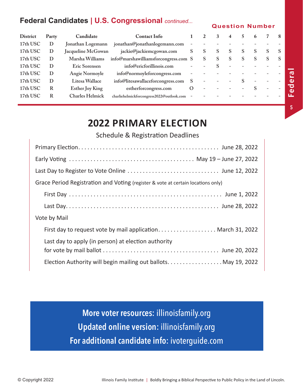#### **Federal Candidates | U.S. Congressional** *continued...*

#### **Question Number**

| <b>District</b> | Party | Candidate              | <b>Contact Info</b>                       |         |   | 3            | 4            |    | o |   | -8 |
|-----------------|-------|------------------------|-------------------------------------------|---------|---|--------------|--------------|----|---|---|----|
| 17th USC        | D     | Jonathan Logemann      | jonathan@jonathanlogemann.com             |         |   |              |              |    |   |   |    |
| 17th USC        | D     | Jacqueline McGowan     | jackie@jackiemcgowan.com                  | S       | S | <sup>S</sup> | <sup>S</sup> | S. | S | S | -S |
| 17th USC        | D     | Marsha Williams        | info@marshawilliamsforcongress.com S      |         | S | <sup>S</sup> | <sup>S</sup> | S  | S | S | -S |
| 17th USC        | D     | Eric Sorensen          | info@ericforillinois.com                  |         |   |              |              |    |   |   |    |
| 17th USC        | D     | Angie Normoyle         | info@normoyleforcongress.com              |         |   |              |              |    |   |   |    |
| 17th USC        | D     | Litesa Wallace         | info@litesawallaceforcongress.com         |         |   |              |              |    |   |   |    |
| 17th USC        | R     | <b>Esther Joy King</b> | estherforcongress.com                     | $\circ$ |   |              |              |    |   |   |    |
| 17th USC        | R     | <b>Charles Helmick</b> | charliehelmickforcongress2022@outlook.com |         |   |              |              |    |   |   |    |
|                 |       |                        |                                           |         |   |              |              |    |   |   |    |

## **2022 PRIMARY ELECTION**

#### Schedule & Registration Deadlines

| Grace Period Registration and Voting (register & vote at certain locations only) |
|----------------------------------------------------------------------------------|
|                                                                                  |
|                                                                                  |
| Vote by Mail                                                                     |
| First day to request vote by mail application March 31, 2022                     |
| Last day to apply (in person) at election authority                              |
|                                                                                  |
| Election Authority will begin mailing out ballots May 19, 2022                   |

**More voter resources:** illinoisfamily.org **Updated online version:** illinoisfamily.org **For additional candidate info:** ivoterguide.com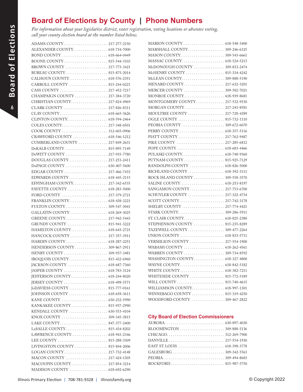### **Board of Elections by County | Phone Numbers**

*For information about your legislative district, voter registration, voting locations or absentee voting, call your county election board at the number listed below.*

| ALEXANDER COUNTY 618-734-7000                                                 |  |
|-------------------------------------------------------------------------------|--|
|                                                                               |  |
|                                                                               |  |
| BROWN COUNTY  217-773-3421                                                    |  |
| BUREAU COUNTY 815-875-2014                                                    |  |
| CALHOUN COUNTY 618-576-2351                                                   |  |
| CARROLL COUNTY  815-244-0221                                                  |  |
|                                                                               |  |
| CHAMPAIGN COUNTY  217-384-3720                                                |  |
| CHRISTIAN COUNTY 217-824-4969                                                 |  |
| CLARK COUNTY  217-826-8311                                                    |  |
|                                                                               |  |
|                                                                               |  |
|                                                                               |  |
|                                                                               |  |
| CRAWFORD COUNTY  618-546-1212                                                 |  |
| CUMBERLAND COUNTY  217-849-2631                                               |  |
| DeKALB COUNTY  815-895-7149                                                   |  |
| DeWITT COUNTY  217-935-7780                                                   |  |
| DOUGLAS COUNTY  217-253-2411                                                  |  |
| $DuPAGE COUNTY \ldots \ldots \ldots \ldots \ldots \ldots \ldots 630-407-5600$ |  |
|                                                                               |  |
|                                                                               |  |
| EFFINGHAM COUNTY 217-342-6535                                                 |  |
|                                                                               |  |
|                                                                               |  |
| FRANKLIN COUNTY 618-438-3221                                                  |  |
|                                                                               |  |
| GALLATIN COUNTY 618-269-3025                                                  |  |
|                                                                               |  |
|                                                                               |  |
| HAMILTON COUNTY 618-643-2721                                                  |  |
| HANCOCK COUNTY 217-357-3911                                                   |  |
| HARDIN COUNTY 618-287-2251                                                    |  |
| HENDERSON COUNTY  309-867-2911                                                |  |
|                                                                               |  |
|                                                                               |  |
|                                                                               |  |
|                                                                               |  |
|                                                                               |  |
|                                                                               |  |
|                                                                               |  |
|                                                                               |  |
|                                                                               |  |
|                                                                               |  |
|                                                                               |  |
|                                                                               |  |
|                                                                               |  |
|                                                                               |  |
|                                                                               |  |
|                                                                               |  |
|                                                                               |  |
| LIVINGSTON COUNTY  815-844-2006                                               |  |
|                                                                               |  |
| MACON COUNTY  217-424-1305                                                    |  |
| MACOUPIN COUNTY 217-854-3214                                                  |  |
|                                                                               |  |

| McDONOUGH COUNTY  309-833-2474   |  |
|----------------------------------|--|
| McHENRY COUNTY  815-334-4242     |  |
|                                  |  |
| MENARD COUNTY 217-632-3201       |  |
| MERCER COUNTY  309-582-7021      |  |
|                                  |  |
| MONTGOMERY COUNTY 217-532-9530   |  |
| MORGAN COUNTY 217-243-8581       |  |
| MOULTRIE COUNTY  217-728-4389    |  |
|                                  |  |
|                                  |  |
|                                  |  |
|                                  |  |
|                                  |  |
|                                  |  |
|                                  |  |
| PUTNAM COUNTY  815-925-7129      |  |
| RANDOLPH COUNTY  618-826-5000    |  |
| RICHLAND COUNTY  618-392-3111    |  |
| ROCK ISLAND COUNTY  309-558-3570 |  |
|                                  |  |
| SANGAMON COUNTY 217-753-6700     |  |
| SCHUYLER COUNTY  217-322-4734    |  |
| SCOTT COUNTY  217-742-3178       |  |
| SHELBY COUNTY  217-774-4421      |  |
|                                  |  |
|                                  |  |
| STEPHENSON COUNTY  815-235-8289  |  |
|                                  |  |
| UNION COUNTY  618-833-5711       |  |
| VERMILION COUNTY  217-554-1900   |  |
|                                  |  |
|                                  |  |
| WASHINGTON COUNTY 618-327-4800   |  |
|                                  |  |
|                                  |  |
| WHITESIDE COUNTY  815-772-5189   |  |
|                                  |  |
| WILLIAMSON COUNTY 618-997-1301   |  |
| WINNEBAGO COUNTY  815-319-4250   |  |
|                                  |  |
|                                  |  |
|                                  |  |

#### **City Board of Election Commissioners**

| BLOOMINGTON $\ldots \ldots \ldots \ldots \ldots \ldots \ldots$ 309-888-5136 |  |
|-----------------------------------------------------------------------------|--|
|                                                                             |  |
|                                                                             |  |
|                                                                             |  |
|                                                                             |  |
|                                                                             |  |
|                                                                             |  |
|                                                                             |  |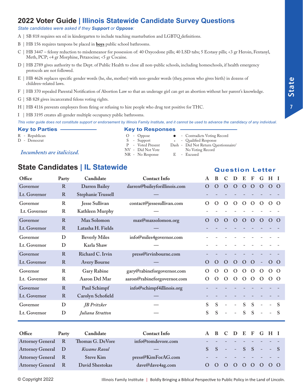#### **2022 Voter Guide | Illinois Statewide Candidate Survey Questions**

#### *State candidates were asked if they Support or Oppose:*

- A | SB 818 requires sex ed in kindergarten to include teaching masturbation and LGBTQ definitions.
- B | HB 156 requires tampons be placed in **boys** public school bathrooms.
- C | HB 3447 felony reduction to misdemeanor for possession of: 40 Oxycodone pills; 40 LSD tabs; 5 Ecstasy pills; <3 gr Heroin, Fentanyl, Meth, PCP; <4 gr Morphine, Petazocine; <5 gr Cocaine.
- D | HB 2789 gives authority to the Dept. of Public Health to close all non-public schools, including homeschools, if health emergency protocols are not followed.
- E | HB 4626 replaces specific gender words (he, she, mother) with non-gender words (they, person who gives birth) in dozens of children-related laws.
- F | HB 370 repealed Parental Notification of Abortion Law so that an underage girl can get an abortion without her parent's knowledge.
- G | SB 828 gives incarcerated felons voting rights.
- H | HB 4116 prevents employers from firing or refusing to hire people who drug test positive for THC.
- I | HB 3195 creates all-gender multiple occupancy public bathrooms.

*This voter guide does not constitute support or endorsement by Illinois Family Institute, and it cannot be used to advance the candidacy of any individual.*

#### **Key to Parties Key to Responses**

- 
- 

#### *Incumbents are italicized.* NV - Did Not Vote No Voting Record<br>
NR - No Response B - Excused

|                | . <i>.</i>      |                                                                                                                                                                                                                                                                |
|----------------|-----------------|----------------------------------------------------------------------------------------------------------------------------------------------------------------------------------------------------------------------------------------------------------------|
| R - Republican | $O$ - Oppose    | • Contradicts Voting Record                                                                                                                                                                                                                                    |
| D - Democrat   | S - Support     | * - Qualified Response                                                                                                                                                                                                                                         |
|                | $\mathbf{v}$ in | $D_{1}$ $D_{2}$ $D_{3}$ $D_{4}$ $D_{5}$ $D_{6}$ $D_{7}$ $D_{8}$ $D_{9}$ $D_{1}$ $D_{1}$ $D_{2}$ $D_{3}$ $D_{4}$ $D_{5}$ $D_{6}$ $D_{7}$ $D_{8}$ $D_{9}$ $D_{1}$ $D_{1}$ $D_{1}$ $D_{1}$ $D_{2}$ $D_{3}$ $D_{4}$ $D_{5}$ $D_{6}$ $D_{7}$ $D_{8}$ $D_{9}$ $D_{1$ |

- D Democrat S Support \* Qualified Response P - Voted Present Dash - Did Not Return Questionnaire/
	-

#### **State Candidates | IL Statewide**

| Office       | Party        | Candidate                 | <b>Contact Info</b>          | A        | B            | $\mathbf C$ | D              | E            | F            | G            | $H$ I    |          |
|--------------|--------------|---------------------------|------------------------------|----------|--------------|-------------|----------------|--------------|--------------|--------------|----------|----------|
| Governor     | R            | <b>Darren Bailey</b>      | darren@baileyforillinois.com | $\Omega$ | $\rm{O}$     | $\mathbf O$ | $\Omega$       | O            | $\Omega$     | $\mathbf O$  | $\Omega$ | $\Omega$ |
| Lt. Governor | $\mathbf R$  | <b>Stephanie Trussell</b> |                              |          |              |             |                |              |              |              |          |          |
| Governor     | $\mathbb{R}$ | Jesse Sullivan            | contact@jessesullivan.com    | $\Omega$ | $\Omega$     | $\mathbf O$ | $\Omega$       | $\mathbf O$  | $\mathbf O$  | $\Omega$     | $\Omega$ | $\Omega$ |
| Lt. Governor | $\mathbb{R}$ | Kathleen Murphy           |                              |          |              |             |                |              |              |              |          |          |
| Governor     | $\mathbf R$  | Max Solomon               | max@maxsolomon.org           | $\Omega$ | $\Omega$     | $\Omega$    | $\Omega$       | O            | $\Omega$     | $\Omega$     | $\Omega$ | $\Omega$ |
| Lt. Governor | $\mathbf R$  | Latasha H. Fields         |                              |          |              |             |                |              |              |              |          |          |
| Governor     | D            | <b>Beverly Miles</b>      | info@miles4governor.com      |          |              |             |                |              |              |              |          |          |
| Lt. Governor | D            | Karla Shaw                |                              |          |              |             |                |              |              |              |          |          |
| Governor     | $\mathbf R$  | Richard C. Irvin          | press@irvinbourne.com        |          |              |             |                |              |              |              |          |          |
| Lt. Governor | $\mathbf R$  | <b>Avery Bourne</b>       |                              | $\Omega$ | $\Omega$     | $\Omega$    | $\Omega$       | $\Omega$     | $\mathbf{O}$ |              | $\Omega$ | $\Omega$ |
| Governor     | $\mathbf R$  | <b>Gary Rabine</b>        | gary@rabineforgovernor.com   | $\Omega$ | $\Omega$     | $\Omega$    | $\Omega$       | O            | $\mathbf O$  | $\mathbf{O}$ | $\Omega$ | $\Omega$ |
| Lt. Governor | $\mathbb{R}$ | Aaron Del Mar             | aaron@rabineforgovernor.com  | O        | O            | $\Omega$    | $\mathbf{O}$   | $\mathbf{O}$ | $\mathbf{O}$ | $\mathbf{O}$ | $\Omega$ | $\Omega$ |
| Governor     | $\mathbf R$  | Paul Schimpf              | info@schimpf4illinois.org    |          |              |             |                |              |              |              |          |          |
| Lt. Governor | $\mathbf R$  | Carolyn Schofield         |                              |          |              |             |                |              |              |              |          |          |
| Governor     | D            | <b>JB</b> Pritzker        |                              | S        | S            |             | $\overline{a}$ | S            | S            |              |          | S        |
| Lt. Governor | D            | Juliana Stratton          |                              | S        | S            |             |                | S            | S            |              |          | S        |
| Office       | Party        | Candidate                 | <b>Contact Info</b>          | A        | <sup>B</sup> | $\mathbf C$ |                |              |              |              | DEFGHI   |          |

| Office                    | Party | Candidate        | <b>Contact Info</b>      |  | A B C D E F G H I                                                                                              |  |  |  |
|---------------------------|-------|------------------|--------------------------|--|----------------------------------------------------------------------------------------------------------------|--|--|--|
| <b>Attorney General R</b> |       | Thomas G. DeVore | info@tomdevore.com       |  |                                                                                                                |  |  |  |
| <b>Attorney General D</b> |       | Kwame Raoul      | $\overline{\phantom{a}}$ |  | $S S - - S S - - S$                                                                                            |  |  |  |
| Attorney General R        |       | <b>Steve Kim</b> | press@KimForAG.com       |  | in de la característica de la característica de la característica de la característica de la característica de |  |  |  |
| <b>Attorney General R</b> |       | David Shestokas  | dave@dave4ag.com         |  | 0 0 0 0 0 0 0 0 0                                                                                              |  |  |  |

© Copyright 2022 Illinois Family Institute | Boldly Bringing a Biblical Perspective to Public Policy in the Land of Lincoln.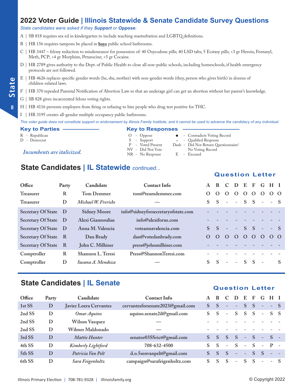#### **2022 Voter Guide | Illinois Statewide & Senate Candidate Survey Questions**

#### *State candidates were asked if they Support or Oppose:*

A | SB 818 requires sex ed in kindergarten to include teaching masturbation and LGBTQ definitions.

- B | HB 156 requires tampons be placed in **boys** public school bathrooms.
- C | HB 3447 felony reduction to misdemeanor for possession of: 40 Oxycodone pills; 40 LSD tabs; 5 Ecstasy pills; <3 gr Heroin, Fentanyl, Meth, PCP; <4 gr Morphine, Petazocine; <5 gr Cocaine.
- D | HB 2789 gives authority to the Dept. of Public Health to close all non-public schools, including homeschools, if health emergency protocols are not followed.
- E | HB 4626 replaces specific gender words (he, she, mother) with non-gender words (they, person who gives birth) in dozens of children-related laws.
- F | HB 370 repealed Parental Notification of Abortion Law so that an underage girl can get an abortion without her parent's knowledge.
- G | SB 828 gives incarcerated felons voting rights.
- H | HB 4116 prevents employers from firing or refusing to hire people who drug test positive for THC.

I | HB 3195 creates all-gender multiple occupancy public bathrooms.

*This voter guide does not constitute support or endorsement by Illinois Family Institute, and it cannot be used to advance the candidacy of any individual.*

- 
- 

#### *Incumbents are italicized.* NV - Did Not Vote No Voting Record<br>
NR - No Response B - Excused

#### **Key to Parties Key to Responses**

- R Republican O Oppose l Contradicts Voting Record S - Support \* - Qualified Response<br>P - Voted Present Dash - Did Not Return Qu P - Voted Present Dash - Did Not Return Questionnaire/
	-
	-

#### **State Candidates | IL Statewide** *continued...*

#### **Office Party Candidate Contact Info A B C D E F G H I Treasurer R Tom Demmer tom@teamdemmer.com O O O O O O O O O Treasurer D** *Michael W. Frerichs* **— S S - - S S - - S Secretary Of State D Sidney Moore info@sidneyforsecretaryofstate.com - - - - - - - - - Secretary Of State D Alexi Giannoulias info@alexiforus.com - - - - - - - - - Secretary Of State D Anna M. Valencia voteannavalencia.com S S - - S S - - S Secretary Of State R Dan Brady dan@votedanbrady.com O O O O O O O O O Secretary Of State R - John C. Milhiser - press@johnmilhiser.com Comptroller R Shannon L. Teresi Press@ShannonTeresi.com - - - - - - - - - Comptroller D** *Susana A. Mendoza* **— S S - - S S - S**

#### **State Candidates | IL Senate**

#### **Question Letter**

| Office | Party | Candidate                     | <b>Contact Info</b>              |    | R            |                          | Ð                        | E                        | F            | $\mathbf{G}$             | НI                       |        |
|--------|-------|-------------------------------|----------------------------------|----|--------------|--------------------------|--------------------------|--------------------------|--------------|--------------------------|--------------------------|--------|
| 1st SS | D     | <b>Javier Loera Cervantes</b> | cervantesforsenate2023@gmail.com | S. | -S           | $\overline{\phantom{a}}$ | $\overline{\phantom{a}}$ | <sub>S</sub>             | -S           | $\overline{\phantom{a}}$ | $- S$                    |        |
| 2nd SS | D     | Omar Aquino                   | aquino.senate2il@gmail.com       | S. | <sup>S</sup> | $\overline{\phantom{a}}$ | S                        | <sub>S</sub>             | -S           | $\overline{\phantom{a}}$ | S S                      |        |
| 2nd SS | D     | <b>Wilson Vazquez</b>         |                                  |    |              |                          |                          |                          |              |                          |                          |        |
| 2nd SS | D     | Wilmer Maldonado              |                                  |    |              |                          |                          |                          |              |                          |                          |        |
| 3rd SS | D     | <i>Mattie Hunter</i>          | senator03SSrict@gmail.com        |    | <sup>S</sup> | S                        | <sub>S</sub>             | $\overline{\phantom{a}}$ | - S          | $\overline{\phantom{a}}$ | $S =$                    |        |
| 4th SS | D     | Kimberly Lightford            | 708-632-4500                     |    | -S           | $\overline{\phantom{a}}$ | <sub>S</sub>             | $\equiv$                 | <sup>S</sup> | $\overline{\phantom{a}}$ | $P$ .                    | $\sim$ |
| 5th SS | D     | Patricia Van Pelt             | d.o.5senvanpelt@gmail.com        |    | <sub>S</sub> | <sub>S</sub>             | $\overline{\phantom{0}}$ | $\overline{a}$           | S.           | S                        |                          |        |
| 6th SS | D     | Sara Feigenholtz              | campaign@sarafeigenholtz.com     |    | <b>S</b>     | S                        | $\overline{\phantom{a}}$ | S                        | S            | $\overline{\phantom{a}}$ | $\overline{\phantom{0}}$ |        |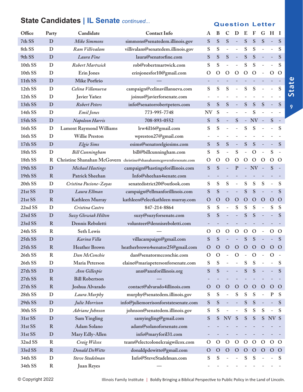#### **Office Party Candidate Contact Info A B C D E F G H I 7th SS D** *Mike Simmons* **simmons@senatedem.illinois.gov S S S - S S S - S 8th SS D** *Ram Villivalam* **villivalam@senatedem.illinois.gov S S - - S S - - S 9th SS D** *Laura Fine* **laura@senatorfine.com S S S - S S - - S 10th SS D** *Robert Martwick* **rob@robertmartwick.com S S - - S S - - S 10th SS D Erin Jones erinjonesfor10@gmail.com O O O O O O - O O 11th SS D Mike Porfirio — - - - - - - - - - 12th SS D** *Celina Villanueva* **campaign@celinavillanueva.com S S S - S S - - S 12th SS D Javier Yañez joinus@javierforsenate.com - - - - - - - - - 13th SS D** *Robert Peters* **info@senatorrobertpeters.com S S S - S S S - S 14th SS D** *Emil Jones* **773-995-7748 NV S - - - S - - - 15th SS D** *Napoleon Harris* **708-893-0552 S S - S - NV - S - 16th SS D Lamont Raymond Williams lrw4il16@gmail.com S S - - S S - - S 16th SS D Willie Preston wpreston27@gmail.com - - - - - - - - - 17th SS D** *Elgie Sims* **esims@senatorelgiesims.com S S S - S S - - S 18th SS D** *Bill Cunningham* **bill@billcunningham.com S S - S - O - S - 18th SS R Christine Shanahan McGovern christine@shanahanmcgovernforsenate.com O O O O O O O O O 19th SS D** *Michael Hastings* **campaign@hastingsforillinois.com S S - P - NV - S - 19th SS R Patrick Sheehan Info@sheehan4senate.com - - - - - - - - - 20th SS D** *Cristina Pacione-Zayas* **senatedistrict20@outlook.com S S S - S S S - S 21st SS D** *Laura Ellman* **campaign@ellmanforillinois.com S S - - S S - - S 21st SS R Kathleen Murray kathleen@electkathleen murray.com O O O O O O O O O 22nd SS D** *Cristina Castro* **847-214-8864 S S - S S S - S S 23rd SS D** *Suzy Glowiak Hilton* **suzy@suzyforsenate.com S S - - S S - - S 23rd SS R Dennis Reboletti volunteer@dennisreboletti.com - - - - - - - - - 24th SS R Seth Lewis — O O O O O O - O O 25th SS D** *Karina Villa* **villacampaign@gmail.com S S - - S S - - S 25th SS R Heather Brown heatherbrown4senator25@gmail.com O O O O O O O O O 26th SS R** *Dan McConchie* **dan@senatormcconchie.com O O - O - O - O - 26th SS D Maria Peterson elaine@mariapetersonforsenate.com S S - - S S - - S 27th SS D** *Ann Gillespie* **ann@annforillinois.org S S - - S S - - S 27th SS R Bill Robertson — - - - - - - - - - 27th SS R Joshua Alvarado contact@alvarado4illinois.com O O O O O O O O O 28th SS D** *Laura Murphy* **murphy@senatedem.illinois.gov S S - S S S - P S 29th SS D** *Julie Morrison* **info@juliemorrisonforstatesenate.com S S - - S S - - S 30th SS D** *Adriane Johnson* **johnson@senatedem.illinois.gov S S - - S S S - S 31st SS D Sam Yingling samyingling@gmail.com S S NV S S S S NV S 31st SS R Adam Solano adam@solanoforsenate.com - - - - - - - - - 31st SS D Mary Edly-Allen info@maryforil31.com - - - - - - - - - 32nd SS R** *Craig Wilcox* **team@electcolonelcraigwilcox.com O O O O O O O O O 33rd SS R** *Donald DeWitte* **donaldpdewitte@gmail.com O O O O O O O O O 34th SS D** *Steve Stadelman* **Info@SteveStadelman.com S S - - S S - - S 34th SS R Juan Reyes — - - - - - - - - -**

#### **State Candidates | IL Senate** *continued...*

#### **Question Letter**

**State**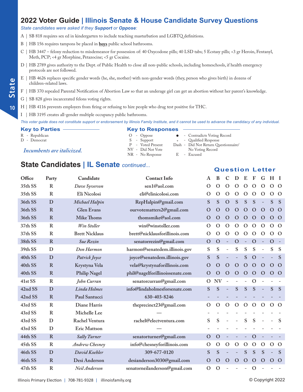#### **2022 Voter Guide | Illinois Senate & House Candidate Survey Questions**

#### *State candidates were asked if they Support or Oppose:*

A | SB 818 requires sex ed in kindergarten to include teaching masturbation and LGBTQ definitions.

- B | HB 156 requires tampons be placed in **boys** public school bathrooms.
- C | HB 3447 felony reduction to misdemeanor for possession of: 40 Oxycodone pills; 40 LSD tabs; 5 Ecstasy pills; <3 gr Heroin, Fentanyl, Meth, PCP; <4 gr Morphine, Petazocine; <5 gr Cocaine.
- D | HB 2789 gives authority to the Dept. of Public Health to close all non-public schools, including homeschools, if health emergency protocols are not followed.
- E | HB 4626 replaces specific gender words (he, she, mother) with non-gender words (they, person who gives birth) in dozens of children-related laws.
- F | HB 370 repealed Parental Notification of Abortion Law so that an underage girl can get an abortion without her parent's knowledge.
- G | SB 828 gives incarcerated felons voting rights.
- H | HB 4116 prevents employers from firing or refusing to hire people who drug test positive for THC.

I | HB 3195 creates all-gender multiple occupancy public bathrooms.

*This voter guide does not constitute support or endorsement by Illinois Family Institute, and it cannot be used to advance the candidacy of any individual.*

| <b>Key to Parties</b>      | <b>Key to Responses</b> |                                      |
|----------------------------|-------------------------|--------------------------------------|
| R - Republican             | $O$ - Oppose            | • Contradicts Voting Record          |
| D - Democrat               | S - Support             | * - Qualified Response               |
|                            | P - Voted Present       | Dash - Did Not Return Questionnaire/ |
| Incumbents are italicized. | NV - Did Not Vote       | No Voting Record                     |
|                            | NR - No Response        | - Excused<br>-E                      |

#### **State Candidates | IL Senate** *continued...*

#### **Office Party Candidate Contact Info A B C D E F G H I 35th SS R** *Dave Syverson* **sen1@aol.com O O O O O O O O O 35th SS R Eli Nicolosi eli@elinicolosi.com O O O O O O O O O 36th SS D** *Michael Halpin* **RepHalpin@gmail.com S S O S S S - S S 36th SS R Glen Evans ourvotematters2@gmail.com O O O O O O O O O 36th SS R Mike Thoms thomsmike@aol.com O O O O O O O O O 37th SS R** *Win Stoller* **win@winstoller.com O O O O O O O O O 37th SS R Brett Nicklaus brett@nicklausforillinois.com O O O O O O O O O 38th SS R** *Sue Rezin* **senatorrezin@gmail.com O O - O - O - O - 39th SS D** *Don Harmon* **harmon@senatedem.illinois.gov S S - S S S - S S 40th SS D** *Patrick Joyce* **joyce@senatedem.illinois.gov S S - - S O - - S 40th SS R Krystyna Vela vela@krystynaforillinois.com O O O O O O O O O 40th SS R Philip Nagel phil@nagelforillinoissenate.com O O O O O O O O O 41st SS R** *John Curran* **senatorcurran@gmail.com O NV - - - O - - - 42nd SS D** *Linda Holmes* **info@lindaholmesforsenate.com S S - S S S - S S 42nd SS R Paul Santucci 630-403-8246 - - - - - - - - - 43rd SS R Diane Harris theprecinct23@gmail.com O O O O O O O O O 43rd SS R Michelle Lee — - - - - - - - - - 43rd SS D Rachel Ventura rachel@electventura.com S S - - S S - - S 43rd SS D Eric Mattson — - - - - - - - - - 44th SS R** *Sally Turner* **senatorturner@gmail.com O O - - - O - - - 45th SS R** *Andrew Chesney* **info@chesneyforillinois.com O O O O O O O O O 46th SS D** *David Koehler* **309-677-0120 S S - - S S S - S 46th SS R Desi Anderson desianderson3030@gmail.com O O O O O O O O O 47th SS R** *Neil Anderson* **senatorneilanderson@gmail.com O O - - - O - - -**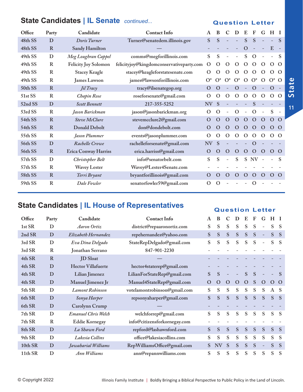#### **State Candidates | IL Senate** *continued...* **Question Letter**

| Office  | Party        | Candidate                   | <b>Contact Info</b>                      | $\mathbf{A}$             | B        | C                        | D                        | E             | F              | G                        | H                        |              |
|---------|--------------|-----------------------------|------------------------------------------|--------------------------|----------|--------------------------|--------------------------|---------------|----------------|--------------------------|--------------------------|--------------|
| 48th SS | D            | Doris Turner                | Turner@senatedem.illinois.gov            | S                        | S        |                          |                          | S             | S              | $\equiv$                 | $\overline{\phantom{a}}$ | S            |
| 48th SS | R            | Sandy Hamilton              |                                          | $\overline{\phantom{a}}$ |          |                          |                          | $\mathbf O$   |                |                          | E                        |              |
| 49th SS | D            | Meg Loughran Cappel         | comms@megforillinois.com                 | S                        | S        |                          | $\overline{\phantom{a}}$ | S             | $\Omega$       |                          | $\qquad \qquad -$        | S            |
| 49th SS | $\mathbb{R}$ | Felicity Joy Solomon        | felicityjoy@kingdomconservativeparty.com | $\Omega$                 | O        | $\Omega$                 | $\Omega$                 | $\Omega$      | $\Omega$       | $\Omega$                 | $\Omega$                 | $\Omega$     |
| 49th SS | $\mathbb{R}$ | <b>Stacey Keagle</b>        | stacey@keagleforstatesenate.com          | $\mathcal{O}$            | O        | $\Omega$                 | $\Omega$                 | $\Omega$      | $\mathbf O$    | $\Omega$                 | $\Omega$                 | $\Omega$     |
| 49th SS | R            | <b>James Lawson</b>         | james@lawsonforillinois.com              | $O^*$                    | $O^*$    | $O^*$                    | $O^*$                    | $\mathcal{O}$ | $O^*$          | $\Omega$                 | $O^*$                    | $\Omega$     |
| 50th SS | $\mathbf R$  | Jil Tracy                   | tracy@ilsenategop.org                    | $\Omega$                 | $\rm{O}$ |                          | $\mathbf O$              |               | $\Omega$       |                          | $\Omega$                 |              |
| 51st SS | $\mathbf R$  | Chapin Rose                 | roseforsenate@gmail.com                  | O                        | $\Omega$ | $\Omega$                 | $\Omega$                 | $\Omega$      | $\mathcal{O}$  | $\Omega$                 | $\Omega$                 | $\Omega$     |
| 52nd SS | D            | <b>Scott Bennett</b>        | 217-355-5252                             | NV                       | S        |                          |                          |               | S              |                          |                          |              |
| 53rd SS | $\mathbf R$  | Jason Barickman             | jason@jasonbarickman.org                 | $\Omega$                 | $\Omega$ |                          | $\Omega$                 |               | $\mathbf O$    | $\overline{\phantom{a}}$ | S                        |              |
| 54th SS | $\mathbf R$  | Steve McClure               | stevemcclure2@gmail.com                  | $\Omega$                 | $\Omega$ | $\Omega$                 | $\Omega$                 | $\Omega$      | $\overline{O}$ | $\Omega$                 | $\Omega$                 | $\Omega$     |
| 54th SS | $\mathbf R$  | <b>Donald Debolt</b>        | don@dondebolt.com                        | $\Omega$                 | $\rm{O}$ | $\Omega$                 | $\mathbf{O}$             | $\mathbf O$   | $\Omega$       | $\Omega$                 | $\Omega$                 | $\Omega$     |
| 55th SS | R            | Jason Plummer               | events@jasonplummer.com                  | $\Omega$                 | O        | $\Omega$                 | $\Omega$                 | $\mathbf O$   | $\mathcal{O}$  | $\mathbf O$              | $\Omega$                 | $\Omega$     |
| 56th SS | D            | Rachelle Crowe              | rachelleforsenate@gmail.com              | <b>NV</b>                | S        |                          |                          |               | $\Omega$       |                          |                          |              |
| 56th SS | R            | <b>Erica Conway Harriss</b> | erica.harriss@gmail.com                  | $\Omega$                 | $\rm{O}$ | $\Omega$                 | $\Omega$                 | $\Omega$      | $\Omega$       | $\mathbf O$              | $\mathbf O$              | $\Omega$     |
| 57th SS | D            | Christopher Belt            | info@senatorbelt.com                     | S                        | S        | $\overline{\phantom{a}}$ | S                        |               | S NV           | $\sim$                   |                          | <sup>S</sup> |
| 57th SS | $\mathbf R$  | <b>Wavey Lester</b>         | Wavey@Lester4Senate.com                  |                          |          |                          |                          |               |                |                          |                          |              |
| 58th SS | $\mathbf R$  | Terri Bryant                | bryantforillinois@gmail.com              | $\Omega$                 | $\rm{O}$ | $\Omega$                 | $\Omega$                 | $\Omega$      | $\Omega$       | $\Omega$                 | $\Omega$                 | $\Omega$     |
| 59th SS | $\mathbf R$  | Dale Fowler                 | senatorfowler59@gmail.com                | $\Omega$                 | $\Omega$ |                          |                          |               | O              |                          |                          |              |

## **State Candidates | IL House of Representatives Accepts Accepts Accepts** Question Letter

| Office  | Party       | Candidate                  | <b>Contact Info</b>          | A | B         | C        | D            | E | F | G                        | $H_{\parallel}$ |                |
|---------|-------------|----------------------------|------------------------------|---|-----------|----------|--------------|---|---|--------------------------|-----------------|----------------|
| 1st SR  | D           | <b>Aaron Ortiz</b>         | district@repaaronortiz.com   | S | S         | S        | S            | S | S | $\overline{\phantom{a}}$ | S               | <sup>S</sup>   |
| 2nd SR  | D           | Elizabeth Hernandez        | repehernandez@yahoo.com      | S | S         | S        | S            | S | S | $\equiv$                 | S               | <sub>S</sub>   |
| 3rd SR  | D           | Eva Dina Delgado           | StateRepDelgado@gmail.com    | S | S         | S        | S            | S | S | $\overline{\phantom{a}}$ | S               | <sup>S</sup>   |
| 3rd SR  | $\mathbf R$ | Jonathan Serrano           | 847-901-2230                 |   |           |          |              |   |   |                          |                 |                |
| 4th SR  | $\mathbf R$ | <b>JD</b> Sloat            |                              |   |           |          |              |   |   |                          |                 |                |
| 4th SR  | D           | <b>Hector Villafuerte</b>  | hector4staterep@gmail.com    |   |           |          |              |   |   |                          |                 |                |
| 4th SR  | D           | Lilian Jimenez             | LilianForStateRep@gmail.com  | S | S         |          |              | S | S |                          |                 |                |
| 4th SR  | D           | Manuel Jimenez Jr          | Manuel4StateRep@gmail.com    | O | O         | $\Omega$ | O            | O | S | $\Omega$                 | $\Omega$        | $\overline{O}$ |
| 5th SR  | D           | <b>Lamont Robinson</b>     | votelamontrobinson@gmail.com | S | S         | S        | S            | S | S | S                        | $\mathbf{A}$    | - S            |
| 6th SR  | D           | Sonya Harper               | repsonyaharper@gmail.com     | S | S         | S        | S            | S | S | S                        | S               | <sub>S</sub>   |
| 6th SR  | D           | Carolynn Crump             |                              |   |           |          |              |   |   |                          |                 |                |
| 7th SR  | D           | <b>Emanuel Chris Welch</b> | welchforrep@gmail.com        | S | S         | S        | S            | S | S | S                        | S               | -S             |
| 7th SR  | $\mathbf R$ | <b>Eddie Kornegay</b>      | info@citizensforkornegay.com |   |           |          |              |   |   |                          |                 |                |
| 8th SR  | D           | La Shawn Ford              | repford@lashawnford.com      | S | S         | S        | S            | S | S | S                        | S               | <sub>S</sub>   |
| 9th SR  | D           | Lakesia Collins            | office@lakesiacollins.com    | S | S         | S        | S            | S | S | S                        | S               | <sub>S</sub>   |
| 10th SR | D           | Jawaharial Williams        | RepWilliamsOffice@gmail.com  | S | <b>NV</b> | S        | <sub>S</sub> | S | S | $\overline{\phantom{a}}$ | S               | <sub>S</sub>   |
| 11th SR | D           | Ann Williams               | ann@repannwilliams.com       | S | S         | S        | S            | S | S | S                        | S               | S              |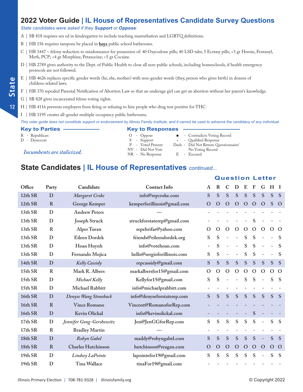#### *State candidates were asked if they Support or Oppose:*

- A | SB 818 requires sex ed in kindergarten to include teaching masturbation and LGBTQ definitions.
- B | HB 156 requires tampons be placed in **boys** public school bathrooms.
- C | HB 3447 felony reduction to misdemeanor for possession of: 40 Oxycodone pills; 40 LSD tabs; 5 Ecstasy pills; <3 gr Heroin, Fentanyl, Meth, PCP; <4 gr Morphine, Petazocine; <5 gr Cocaine.
- D | HB 2789 gives authority to the Dept. of Public Health to close all non-public schools, including homeschools, if health emergency protocols are not followed.
- E | HB 4626 replaces specific gender words (he, she, mother) with non-gender words (they, person who gives birth) in dozens of children-related laws.
- F | HB 370 repealed Parental Notification of Abortion Law so that an underage girl can get an abortion without her parent's knowledge.
- G | SB 828 gives incarcerated felons voting rights.
- H | HB 4116 prevents employers from firing or refusing to hire people who drug test positive for THC.
- I | HB 3195 creates all-gender multiple occupancy public bathrooms.

*This voter guide does not constitute support or endorsement by Illinois Family Institute, and it cannot be used to advance the candidacy of any individual.*

| <b>Key to Parties</b>      | <b>Key to Responses</b> |    |                                      |
|----------------------------|-------------------------|----|--------------------------------------|
| R - Republican             | $O$ - Oppose            |    | • Contradicts Voting Record          |
| D - Democrat               | S - Support             |    | * - Qualified Response               |
|                            | P - Voted Present       |    | Dash - Did Not Return Questionnaire/ |
|                            | NV - Did Not Vote       |    | No Voting Record                     |
| Incumbents are italicized. | $NR - No$ Response      | Е. | - Excused                            |

#### **State Candidates | IL House of Representatives** *continued...*

| Office  | Party        | Candidate                 | <b>Contact Info</b>         | $\mathbf A$              | B             | $\mathbf C$ | D             | E             | F            | G                        | H            | - 1         |
|---------|--------------|---------------------------|-----------------------------|--------------------------|---------------|-------------|---------------|---------------|--------------|--------------------------|--------------|-------------|
| 12th SR | D            | Margaret Croke            | info@repcroke.com           | S                        | S             | S           | S             | S             | S            | S                        | S            | S           |
| 12th SR | $\mathbf R$  | George Kemper             | kemperforillinois@gmail.com | $\mathbf O$              | $\Omega$      | $\mathbf O$ | $\Omega$      | $\mathbf{O}$  | $\mathbf O$  | $\Omega$                 | S            | $\Omega$    |
| 13th SR | D            | <b>Andrew Peters</b>      |                             |                          |               |             |               |               |              |                          |              |             |
| 13th SR | D            | <b>Joseph Struck</b>      | struckforstaterep@gmail.com |                          |               |             |               |               | S            |                          |              |             |
| 13th SR | $\mathbb{R}$ | Alper Turan               | sepehrifar@yahoo.com        | $\mathcal{O}$            | $\Omega$      | $\Omega$    | $\mathcal{O}$ | $\Omega$      | $\mathbf{O}$ | $\mathbf{O}$             | $\Omega$     | $\Omega$    |
| 13th SR | D            | Eileen Dordek             | friends@eileendordek.org    | S                        | S             |             |               | ${\bf S}$     | S            |                          |              | S           |
| 13th SR | D            | Hoan Huynh                | info@votehoan.com           | $\overline{\phantom{a}}$ | S             |             |               | ${\bf S}$     | ${\bf S}$    | ÷                        |              | S           |
| 13th SR | D            | Fernando Mojica           | hello@sergioforillinois.com | S                        | ${\bf S}$     |             |               | ${\bf S}$     | ${\bf S}$    |                          |              | S           |
| 14th SR | D            | Kelly Cassidy             | repcassidy@gmail.com        | S                        | S             | S           | S             | S             | S            | S                        | S            | S           |
| 15th SR | $\mathbb{R}$ | Mark R. Albers            | markalbersfor15@gmail.com   | $\mathbf O$              | $\mathcal{O}$ | $\mathbf O$ | O             | $\mathcal{O}$ | $\mathbf{O}$ | $\mathbf{O}$             | $\mathbf{O}$ | $\Omega$    |
| 15th SR | D            | Michael Kelly             | Kellyfor15@gmail.com        | ${\bf S}$                | S             |             |               | S             | S            | $\overline{a}$           | S            | S           |
| 15th SR | D            | Michael Rabbitt           | info@michaelprabbitt.com    |                          |               |             |               |               |              |                          |              |             |
| 16th SR | D            | Denyse Wang Stoneback     | info@denyseforstaterep.com  | S                        | S             | S           | S             | S             | S            | S                        | S            | S           |
| 16th SR | $\mathbf R$  | <b>Vince Romano</b>       | Vincent@RomanoforRep.com    |                          |               |             |               |               |              |                          |              |             |
| 16th SR | D            | <b>Kevin Olickal</b>      | info@kevinolickal.com       |                          |               |             |               |               | ${\bf S}$    |                          |              |             |
| 17th SR | D            | Jennifer Gong-Gershowitz  | Jen@JenGGforRep.com         | S                        | S             | S           | S             | S             | S            | $\overline{\phantom{a}}$ | S            | S           |
| 17th SR | $\mathbb{R}$ | <b>Bradley Martin</b>     |                             |                          |               |             |               |               |              |                          |              |             |
| 18th SR | D            | Robyn Gabel               | maddy@robyngabel.com        | S                        | ${\bf S}$     | S           | ${\bf S}$     | ${\bf S}$     | S            | $\overline{\phantom{a}}$ | ${\bf S}$    | S           |
| 18th SR | $\mathbf R$  | <b>Charles Hutchinson</b> | hutchinson@reagan.com       | $\mathbf O$              | $\mathbf O$   | $\mathbf O$ | $\mathbf O$   | $\mathbf O$   | $\mathbf O$  | $\Omega$                 | $\mathbf O$  | $\mathbf O$ |
| 19th SR | D            | Lindsey LaPointe          | lapointefor19@gmail.com     | S                        | S             | S           | S             | ${\bf S}$     | S            | $\bar{ }$                | S            | S           |
| 19th SR | D            | Tina Wallace              | tinaFor19@gmail.com         |                          |               |             |               |               |              |                          |              |             |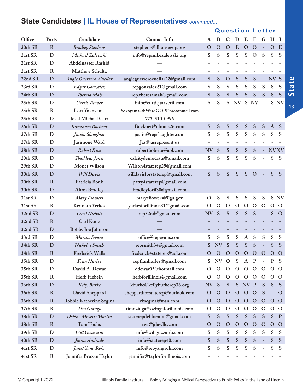## **State Candidates | IL House of Representatives** *continued...*

| Office  | Party        | Candidate                 | <b>Contact Info</b>               | A             | B            | $\mathbf C$              | D                        | E             | F             | G                        | H            | - 1            |
|---------|--------------|---------------------------|-----------------------------------|---------------|--------------|--------------------------|--------------------------|---------------|---------------|--------------------------|--------------|----------------|
| 20th SR | $\mathbb{R}$ | <b>Bradley Stephens</b>   | stephens@ilhousegop.org           | $\mathbf O$   | $\mathbf{O}$ | $\mathbf O$              | E                        | $\mathbf O$   | $\mathbf O$   |                          | $\mathbf{O}$ | E              |
| 21st SR | D            | Michael Zalewski          | info@repmikezalewski.org          | S             | ${\bf S}$    | S                        | S                        | S             | $\Omega$      | S                        | S            | S              |
| 21st SR | D            | <b>Abdelnasser Rashid</b> |                                   |               |              |                          |                          |               |               |                          |              |                |
| 21st SR | $\mathbf R$  | Matthew Schultz           |                                   |               |              |                          |                          |               |               |                          |              |                |
| 22nd SR | D            | Angie Guerrero-Cuellar    | angieguerrerocuellar22@gmail.com  | ${\bf S}$     | ${\bf S}$    | $\mathbf O$              | S                        | ${\bf S}$     | S             | $\overline{\phantom{a}}$ | NV S         |                |
| 23rd SR | D            | Edgar Gonzalez            | repgonzalez21@gmail.com           | S             | S            | S                        | S                        | S             | S             | S                        | S            | S              |
| 24th SR | D            | Theresa Mah               | rep.theresamah@gmail.com          | S             | ${\bf S}$    | S                        | S                        | ${\bf S}$     | S             | S                        | S            | S              |
| 25th SR | D            | Curtis Tarver             | info@curtisjtarverii.com          | S             | ${\bf S}$    | S                        | $\mathrm{NV}$            | ${\bf S}$     | <b>NV</b>     | $\equiv$                 | S            | <b>NV</b>      |
| 25th SR | $\mathbb{R}$ | Lori Yokoyama             | Yokoyama4thWardGOP@protonmail.com |               |              |                          |                          |               |               |                          |              |                |
| 25th SR | D            | Josef Michael Carr        | 773-510-0996                      |               |              |                          |                          |               |               |                          |              |                |
| 26th SR | D            | Kambium Buckner           | Buckner@illinois26.com            | S             | S            | S                        | S                        | ${\bf S}$     | S             | S                        | $\bf{A}$     | S              |
| 27th SR | D            | Justin Slaughter          | justin@repslaughter.com           | S             | S            | S                        | S                        | S             | S             | S                        | S            | S              |
| 27th SR | D            | Jasimone Ward             | Jas@jasrepresent.us               |               |              | $\overline{\phantom{a}}$ | $\overline{\phantom{a}}$ |               |               |                          |              |                |
| 28th SR | D            | Robert Rita               | robertbobrita@aol.com             | <b>NV</b>     | S            | ${\bf S}$                | ${\bf S}$                | ${\bf S}$     | S             |                          | <b>NVNV</b>  |                |
| 29th SR | D            | Thaddeus Jones            | calcitydemocrats@gmail.com        | S             | S            | S                        | S                        | S             | S             |                          | S            | S              |
| 29th SR | D            | Monet Wilson              | Wilson4staterep29@gmail.com       |               |              |                          |                          |               |               |                          |              |                |
| 30th SR | D            | <b>Will Davis</b>         | willdavisforstaterep@gmail.com    | S             | S            | S                        | S                        | S             | $\Omega$      |                          | S            | S              |
| 30th SR | $\mathbf R$  | Patricia Bonk             | patty4staterep@gmail.com          |               |              |                          |                          |               |               |                          |              |                |
| 30th SR | D            | <b>Alton Bradley</b>      | bradleyforil30@gmail.com          |               |              |                          |                          |               |               |                          |              |                |
| 31st SR | D            | Mary Flowers              | maryeflowers@ilga.gov             | O             | S            | S                        | S                        | ${\bf S}$     | S             | S                        |              | S NV           |
| 31st SR | $\mathbb{R}$ | <b>Kenneth Yerkes</b>     | yerkesforillinois31@gmail.com     | O             | $\Omega$     | $\Omega$                 | $\mathbf O$              | $\mathbf O$   | $\Omega$      | $\Omega$                 | $\Omega$     | $\Omega$       |
| 32nd SR | D            | Cyril Nichols             | rep32nd@gmail.com                 | <b>NV</b>     | S            | S                        | S                        | S             | S             |                          | S            | $\mathbf O$    |
| 32nd SR | $\mathbf R$  | Carl Kunz                 |                                   |               |              |                          |                          |               |               |                          |              |                |
| 32nd SR | D            | <b>Bobby Joe Johnson</b>  |                                   |               |              |                          |                          |               |               |                          |              |                |
| 33rd SR | D            | Marcus Evans              | office@repevans.com               | S             | S            | S                        | S                        | A             | S             | S                        | S            | S              |
| 34th SR | D            | Nicholas Smith            | repsmith34@gmail.com              | S             | <b>NV</b>    | S                        | S                        | S             | S             |                          | S            | S              |
| 34th SR | $\mathbf R$  | <b>Frederick Walls</b>    | frederick4staterep@aol.com        | O             | $\mathbf O$  | $\Omega$                 | $\mathbf O$              | $\Omega$      | $\Omega$      | $\mathbf O$              | $\mathbf{O}$ | $\Omega$       |
| 35th SR | D            | Fran Hurley               | repfranhurley@gmail.com           | S             | NV O         |                          | S                        | $\bf{A}$      | $\mathbf{P}$  |                          | $\mathbf{P}$ | S              |
| 35th SR | D            | David A. Dewar            | ddewar05@hotmail.com              | O             | $\Omega$     | $\Omega$                 | $\mathbf{O}$             | $\mathbf{O}$  | $\mathbf O$   | $\Omega$                 | $\mathbf{O}$ | $\Omega$       |
| 35th SR | $\mathbb{R}$ | Herb Hebein               | herbforillinois@gmail.com         | $\mathcal{O}$ | $\Omega$     | $\mathbf{O}$             | $\mathbf O$              | $\mathbf{O}$  | $\Omega$      | $\mathbf{O}$             | $\mathbf{O}$ | $\Omega$       |
| 36th SR | D            | <b>Kelly Burke</b>        | kburke@kellyburkerep36.org        | <b>NV</b>     | S            | S                        | ${\bf S}$                | NV P          |               | S                        | ${\bf S}$    | S              |
| 36th SR | $\mathbf R$  | David Sheppard            | sheppardforstaterep@outlook.com   | $\mathbf O$   | $\mathbf O$  | $\mathbf O$              | $\mathbf{O}$             | $\mathbf O$   | $\mathbf O$   | S                        |              | $\Omega$       |
| 36th SR | $\mathbf R$  | Robbie Katherine Segina   | rksegina@msn.com                  | $\mathbf O$   | $\mathbf O$  | $\mathbf O$              | $\mathbf O$              | $\mathbf{O}$  | $\mathbf{O}$  | $\mathbf{O}$             | $\mathbf{O}$ | $\overline{O}$ |
| 37th SR | $\mathbb{R}$ | Tim Ozinga                | timozinga@ozingaforillinois.com   | O             | $\mathbf O$  | $\mathbf{O}$             | $\mathbf O$              | $\mathcal{O}$ | $\mathbf O$   | $\mathbf{O}$             | $O$ O        |                |
| 38th SR | $\mathbf D$  | Debbie Meyers-Martin      | staterepdebbiemm@gmail.com        | ${\bf S}$     | ${\bf S}$    | ${\bf S}$                | ${\bf S}$                | ${\bf S}$     | S             | ${\bf S}$                | ${\bf S}$    | $\mathbf{P}$   |
| 38th SR | $\mathbf R$  | <b>Tom Toolis</b>         | twt@jtlawllc.com                  | $\mathbf O$   | $\mathbf O$  | $\mathbf{O}$             | $\mathbf O$              | $\mathbf{O}$  | $\mathbf O$   | $\mathbf{O}$             | $\mathbf{O}$ | $\mathbf{O}$   |
| 39th SR | D            | Will Guzzardi             | info@willguzzardi.com             | S             | S            | S                        | S                        | S             | S             | S                        | S            | S              |
| 40th SR | $\mathbf D$  | Jaime Andrade             | info@staterep40.com               | S             | ${\bf S}$    | ${\bf S}$                | ${\bf S}$                | ${\bf S}$     | ${\mathbf S}$ | $\overline{\phantom{a}}$ | ${\bf S}$    | ${\bf S}$      |
| 41st SR | $\mathbf D$  | Janet Yang Rohr           | info@repyangrohr.com              | S             | S            | S                        | S                        | S             | ${\mathbf S}$ | $\overline{\phantom{0}}$ | S            | S              |
| 41st SR | $\mathbf R$  | Jennifer Bruzan Taylor    | jennifer@taylorforillinois.com    |               |              |                          |                          |               |               |                          |              |                |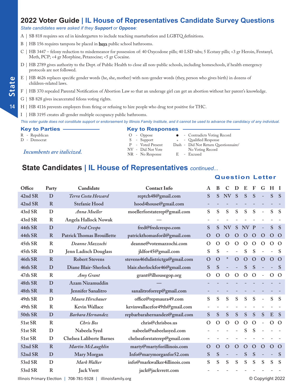#### *State candidates were asked if they Support or Oppose:*

- A | SB 818 requires sex ed in kindergarten to include teaching masturbation and LGBTQ definitions.
- B | HB 156 requires tampons be placed in **boys** public school bathrooms.
- C | HB 3447 felony reduction to misdemeanor for possession of: 40 Oxycodone pills; 40 LSD tabs; 5 Ecstasy pills; <3 gr Heroin, Fentanyl, Meth, PCP; <4 gr Morphine, Petazocine; <5 gr Cocaine.
- D | HB 2789 gives authority to the Dept. of Public Health to close all non-public schools, including homeschools, if health emergency protocols are not followed.
- E | HB 4626 replaces specific gender words (he, she, mother) with non-gender words (they, person who gives birth) in dozens of children-related laws.
- F | HB 370 repealed Parental Notification of Abortion Law so that an underage girl can get an abortion without her parent's knowledge.
- G | SB 828 gives incarcerated felons voting rights.
- H | HB 4116 prevents employers from firing or refusing to hire people who drug test positive for THC.
- I | HB 3195 creates all-gender multiple occupancy public bathrooms.

*This voter guide does not constitute support or endorsement by Illinois Family Institute, and it cannot be used to advance the candidacy of any individual.*

**Key to Parties Key to Responses** R - Republican O - Oppose l - Contradicts Voting Record D - Democrat S - Support \* - Qualified Response P - Voted Present Dash - Did Not Return Questionnaire/ *Incumbents are italicized.* NV - Did Not Vote No Voting Record<br>
NR - No Response B - Excused

#### **State Candidates | IL House of Representatives** *continued...*

#### **Question Letter**

| Office  | Party        | Candidate                         | <b>Contact Info</b>             | A             | B           | C                        | D             | E           | F             | G                        | H             | - 1          |
|---------|--------------|-----------------------------------|---------------------------------|---------------|-------------|--------------------------|---------------|-------------|---------------|--------------------------|---------------|--------------|
| 42nd SR | D            | Terra Costa Howard                | reptch48@gmail.com              | S             | S           | <b>NV</b>                | S             | S           | S             | $\overline{a}$           | S             | <sub>S</sub> |
| 42nd SR | $\mathbf R$  | Stefanie Hood                     | hood4house@gmail.com            |               |             |                          |               |             |               |                          |               |              |
| 43rd SR | D            | Anna Moeller                      | moellerforstaterep@gmail.com    | S             | S           | S                        | S             | ${\bf S}$   | ${\bf S}$     | $\overline{\phantom{m}}$ | S             | S            |
| 43rd SR | $\mathbb{R}$ | <b>Angela Hallock Nowak</b>       |                                 |               |             |                          |               |             |               |                          |               |              |
| 44th SR | D            | <b>Fred Crespo</b>                | fred@fredcrespo.com             | S             | S           | <b>NV</b>                | S             | NV          | $\mathbf{P}$  | $\overline{a}$           | S             | S            |
| 44th SR | $\mathbf R$  | <b>Patrick Thomas Brouillette</b> | patrickthomasforil@gmail.com    | $\Omega$      | $\mathbf O$ | $\mathbf O$              | $\mathbf{O}$  | $\Omega$    | $\mathbf{O}$  | $\Omega$                 | $\mathbf{O}$  | $\mathbf O$  |
| 45th SR | $\mathbf R$  | Deanne Mazzochi                   | deanne@votemazzochi.com         | $\mathcal{O}$ | $\mathbf O$ | $\Omega$                 | $\mathbf{O}$  | $\mathbf O$ | $\mathbf{O}$  | $\Omega$                 | $\mathbf{O}$  | $\Omega$     |
| 45th SR | D            | Jenn Ladisch Douglass             | jldfor45@gmail.com              | S             | ${\bf S}$   | $\overline{\phantom{0}}$ |               | S           | ${\bf S}$     |                          |               | S            |
| 46th SR | $\mathbf R$  | <b>Robert Stevens</b>             | stevens46thdistrictga@gmail.com | $\mathbf{O}$  | $\mathbf O$ | $\frac{1}{2}$            | $\mathbf{O}$  | $\mathbf O$ | $\Omega$      | $\Omega$                 | $\mathbf O$   | $\Omega$     |
| 46th SR | D            | Diane Blair-Sherlock              | blair.sherlockfor46@gmail.com   | S             | S           |                          |               | S           | S             |                          |               | S            |
| 47th SR | $\mathbf R$  | Amy Grant                         | grant@ilhousegop.org            | $\mathbf{O}$  | $\mathbf O$ | $\mathbf{O}$             | $\mathcal{O}$ | $\mathbf O$ | $\mathcal{O}$ | $\overline{\phantom{m}}$ | $\mathcal{O}$ | $\Omega$     |
| 48th SR | D            | Azam Nizamuddin                   |                                 |               |             |                          |               |             |               |                          |               |              |
| 48th SR | $\mathbf R$  | Jennifer Sanalitro                | sanalitroforrep@gmail.com       |               |             |                          |               |             |               |                          |               |              |
| 49th SR | D            | Maura Hirschauer                  | office@repmaura49.com           | S             | S           | S                        | S             | S           | S             | $\overline{\phantom{0}}$ | S             | S            |
| 49th SR | $\mathbf R$  | <b>Kevin Wallace</b>              | kevinwallacefor49th@gmail.com   |               |             |                          |               |             |               |                          |               |              |
| 50th SR | D            | Barbara Hernandez                 | repbarbarahernandez@gmail.com   | S             | S           | S                        | ${\bf S}$     | ${\bf S}$   | ${\bf S}$     | S                        | E             | <sub>S</sub> |
| 51st SR | $\mathbb{R}$ | Chris Bos                         | chris@chrisbos.us               | $\mathcal{O}$ | $\mathbf O$ | $\mathcal{O}$            | $\mathbf{O}$  | $\mathbf O$ | $\mathcal{O}$ |                          | $\mathbf{O}$  | $\Omega$     |
| 51st SR | D            | Nabeela Syed                      | nabeela@nabeelasyed.com         |               |             |                          |               | S           | S             |                          |               |              |
| 51st SR | D            | <b>Chelsea Laliberte Barnes</b>   | chelseaforstaterep@gmail.com    |               |             |                          |               |             |               |                          |               |              |
| 52nd SR | $\mathbf R$  | Martin McLaughlin                 | marty@martyforillinois.com      | $\mathbf O$   | $\mathbf O$ | $\mathbf O$              | $\mathbf O$   | $\mathbf O$ | $\mathbf{O}$  | $\mathbf O$              | $\mathbf O$   | $\Omega$     |
| 52nd SR | D            | Mary Morgan                       | Info@marymorganfor52.com        | S             | S           |                          |               | S           | S             |                          |               | S            |
| 53rd SR | D            | Mark Walker                       | info@markwalker4illinois.com    | S             | S           | S                        | S             | S           | S             | S                        | S             | S            |
| 53rd SR | $\mathbf R$  | <b>Jack Vrett</b>                 | jack@jackvrett.com              |               |             |                          |               |             |               |                          |               |              |

Illinois Primary Election | 708-781-9328 | illinoisfamily.org © Copyright 2022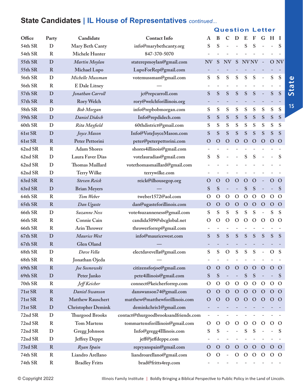#### **State Candidates | IL House of Representatives** *continued...*

#### **Question Letter**

| Office  | Party        | Candidate                 | <b>Contact Info</b>                  | A                        | B            | $\mathbf C$   | D            | E            | F             | G                        | H             | -1            |
|---------|--------------|---------------------------|--------------------------------------|--------------------------|--------------|---------------|--------------|--------------|---------------|--------------------------|---------------|---------------|
| 54th SR | D            | Mary Beth Canty           | info@marybethcanty.org               | S                        | S            |               |              | S            | S             |                          |               | S             |
| 54th SR | $\mathbb{R}$ | Michele Hunter            | 847-370-5070                         |                          |              |               |              |              |               |                          |               |               |
| 55th SR | D            | Martin Moylan             | staterepmoylan@gmail.com             | <b>NV</b>                | S            | <b>NV</b>     | S            | <b>NVNV</b>  |               | $\sim$                   |               | O NV          |
| 55th SR | $\mathbf R$  | Michael Lupo              | LupoForRep@gmail.com                 |                          |              |               |              |              |               |                          |               |               |
| 56th SR | D            | Michelle Mussman          | votemussman@gmail.com                | S                        | S            | S             | S            | S            | S             | $\overline{\phantom{0}}$ | S             | S             |
| 56th SR | $\mathbf R$  | E Dale Litney             |                                      |                          |              |               |              |              |               |                          |               |               |
| 57th SR | D            | Jonathan Carroll          | jc@repcarroll.com                    | S                        | S            | S             | S            | S            | ${\bf S}$     | $\overline{\phantom{0}}$ | ${\bf S}$     | S             |
| 57th SR | $\mathbf R$  | <b>Rory Welch</b>         | rory@welchforillinois.org            |                          |              |               | -            |              |               |                          |               |               |
| 58th SR | D            | <b>Bob Morgan</b>         | info@repbobmorgan.com                | S                        | S            | S             | S            | S            | S             | S                        | S             | S             |
| 59th SR | D            | <b>Daniel Didech</b>      | Info@repdidech.com                   | S                        | S            | S             | ${\bf S}$    | ${\bf S}$    | ${\bf S}$     | ${\bf S}$                | ${\bf S}$     | ${\bf S}$     |
| 60th SR | D            | Rita Mayfield             | 60thdistrict@gmail.com               | S                        | S            | S             | S            | S            | S             | S                        | S             | S             |
| 61st SR | D            | Joyce Mason               | Info@VoteJoyceMason.com              | S                        | S            | S             | S            | S            | ${\bf S}$     | S                        | ${\bf S}$     | S             |
| 61st SR | $\mathbf R$  | Peter Pettorini           | peter@peterpettorini.com             | $\overline{O}$           | $\mathbf O$  | $\mathbf{O}$  | $\mathbf O$  | $\mathbf O$  | $\mathbf O$   | $\Omega$                 | $\Omega$      | $\Omega$      |
| 62nd SR | $\mathbb{R}$ | <b>Adam Shores</b>        | shores4illinois@gmail.com            | $\overline{\phantom{a}}$ |              |               |              |              |               |                          |               |               |
| 62nd SR | D            | Laura Faver Dias          | votelauradias@gmail.com              | S                        | S            |               |              | S            | S             |                          |               | S             |
| 62nd SR | D            | Thomas Maillard           | votethomasmaillard@gmail.com         |                          |              |               |              |              |               |                          |               |               |
| 62nd SR | D            | Terry Wilke               | terrywilke.com                       |                          |              |               |              |              |               |                          |               |               |
| 63rd SR | $\mathbf R$  | <b>Steven Reick</b>       | reick@ilhousegop.org                 | O                        | $\Omega$     | $\Omega$      | $\mathbf O$  | $\mathbf O$  | $\mathbf O$   | $\equiv$                 | $\Omega$      | $\Omega$      |
| 63rd SR | D            | <b>Brian Meyers</b>       |                                      | S                        | S            | ÷,            |              | ${\bf S}$    | ${\bf S}$     | $\overline{\phantom{0}}$ | ÷,            | S             |
| 64th SR | $\mathbb{R}$ | Tom Weber                 | tweber1572@aol.com                   | O                        | $\mathbf O$  | $\mathcal{O}$ | $\mathbf O$  | $\mathbf O$  | $\mathcal{O}$ | $\mathbf{O}$             | $\mathcal{O}$ | $\Omega$      |
| 65th SR | $\mathbf R$  | Dan Ugaste                | dan@ugasteforillinois.com            | O                        | $\mathbf O$  | $\mathbf{O}$  | $\mathbf O$  | $\mathbf O$  | $\mathbf O$   | $\mathbf{O}$             | $\Omega$      | $\Omega$      |
| 66th SR | D            | Suzanne Ness              | vote4suzanneness@gmail.com           | S                        | S            | S             | S            | S            | S             | $\overline{\phantom{0}}$ | S             | S             |
| 66th SR | $\mathbb{R}$ | Connie Cain               | candida509@sbcglobal.net             | O                        | $\mathbf O$  | $\mathbf O$   | $\mathbf O$  | $\mathbf O$  | $\mathbf O$   | $\mathbf{O}$             | $\mathbf O$   | $\mathcal{O}$ |
| 66th SR | $\mathbb{R}$ | Arin Thrower              | throwerforrep@gmail.com              |                          |              |               |              |              |               |                          |               |               |
| 67th SR | D            | Maurice West              | info@mauricewest.com                 | S                        | S            | ${\bf S}$     | S            | S            | ${\bf S}$     | ${\bf S}$                | ${\bf S}$     | S             |
| 67th SR | $\mathbf R$  | Glen Oland                |                                      |                          |              |               |              |              |               |                          |               |               |
| 68th SR | D            | Dave Vella                | electdavevella@gmail.com             | S                        | S            | $\Omega$      | S            | S            | S             |                          | O             | S             |
| 68th SR | $\mathbf R$  | Jonathan Ojeda            |                                      |                          |              |               |              |              |               |                          |               |               |
| 69th SR | $\mathbf R$  | Joe Sosnowski             | citizensforjoe@gmail.com             | O                        | $\mathbf O$  | $\mathbf{O}$  | $\mathbf O$  | $\mathbf{O}$ | $\mathbf{O}$  | $\mathbf{O}$             | $\Omega$      | $\Omega$      |
| 69th SR | $\mathbf D$  | Peter Janko               | pete4illinois@gmail.com              | S                        | S            |               |              | S            | S             |                          |               | S             |
| 70th SR | $\mathbb{R}$ | Jeff Keicher              | connect@keicherforrep.com            | $\mathbf O$              | $\mathbf O$  | $\mathbf{O}$  | $\mathbf{O}$ | $\mathbf{O}$ | $\mathcal{O}$ | $\mathbf{O}$             | $\Omega$      | $\mathbf O$   |
| 71st SR | $\mathbf R$  | Daniel Swanson            | danswanson74@gmail.com               | $\mathbf O$              | $\mathbf O$  | $\mathbf{O}$  | $\mathbf O$  | $\Omega$     | $\mathbf O$   | $\mathbf{O}$             | $\mathbf O$   | $\Omega$      |
| 71st SR | $\mathbf R$  | <b>Matthew Rauschert</b>  | matthew@matthewforillinois.com       | $\mathbf O$              | $\Omega$     | $\mathbf O$   | $\mathbf O$  | $\Omega$     | $\Omega$      | $\mathbf{O}$             | $\Omega$      | $\circ$       |
| 71st SR | $\mathbf D$  | <b>Christopher Demink</b> | deminkchris1@gmail.com               |                          |              |               |              |              |               |                          |               |               |
| 72nd SR | D            | <b>Thurgood Brooks</b>    | contact@thurgoodbrooksandfriends.com |                          |              |               |              |              |               |                          |               |               |
| 72nd SR | $\mathbb{R}$ | <b>Tom Martens</b>        | tommartensforillinois@gmail.com      | O                        | $\Omega$     | $\mathbf{O}$  | $\Omega$     | $\Omega$     | $\mathbf O$   | $\mathbf{O}$             | $\Omega$      | $\mathbf O$   |
| 72nd SR | D            | Gregg Johnson             | Info@gregg4Illinois.com              | S                        | S            |               |              | S            | S             |                          |               | S             |
| 72nd SR | D            | <b>Jeffrey Deppe</b>      | jeff@jeffdeppe.com                   |                          |              |               |              |              |               |                          |               |               |
| 73rd SR | $\mathbf R$  | Ryan Spain                | repryanspain@gmail.com               | $\mathbf O$              | $\mathbf{O}$ | $\mathbf{O}$  | $\mathbf O$  | $\mathbf{O}$ | $\mathbf O$   | $\mathbf{O}$             | $\mathbf{O}$  | $\mathbf O$   |
| 74th SR | $\mathbf R$  | Liandro Arellano          | liandroarellano@gmail.com            | O                        | $\Omega$     |               | O            | $\Omega$     | $\mathbf O$   | $\Omega$                 | $\mathbf O$   | $\Omega$      |
| 74th SR | $\bf R$      | <b>Bradley Fritts</b>     | brad@fritts4rep.com                  |                          |              |               |              |              |               |                          |               |               |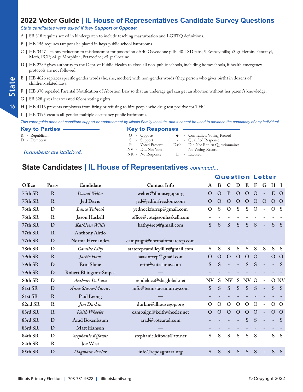#### *State candidates were asked if they Support or Oppose:*

A | SB 818 requires sex ed in kindergarten to include teaching masturbation and LGBTQ definitions.

- B | HB 156 requires tampons be placed in **boys** public school bathrooms.
- C | HB 3447 felony reduction to misdemeanor for possession of: 40 Oxycodone pills; 40 LSD tabs; 5 Ecstasy pills; <3 gr Heroin, Fentanyl, Meth, PCP; <4 gr Morphine, Petazocine; <5 gr Cocaine.
- D | HB 2789 gives authority to the Dept. of Public Health to close all non-public schools, including homeschools, if health emergency protocols are not followed.
- E | HB 4626 replaces specific gender words (he, she, mother) with non-gender words (they, person who gives birth) in dozens of children-related laws.
- F | HB 370 repealed Parental Notification of Abortion Law so that an underage girl can get an abortion without her parent's knowledge.
- G | SB 828 gives incarcerated felons voting rights.
- H | HB 4116 prevents employers from firing or refusing to hire people who drug test positive for THC.
- I | HB 3195 creates all-gender multiple occupancy public bathrooms.

*This voter guide does not constitute support or endorsement by Illinois Family Institute, and it cannot be used to advance the candidacy of any individual.*

| <b>Key to Parties</b>      | <b>Key to Responses</b> |                                      |
|----------------------------|-------------------------|--------------------------------------|
| R - Republican             | $O$ - Oppose            | • Contradicts Voting Record          |
| D - Democrat               | S - Support             | * - Qualified Response               |
|                            | P - Voted Present       | Dash - Did Not Return Questionnaire/ |
| Incumbents are italicized. | NV - Did Not Vote       | No Voting Record                     |
|                            | NR - No Response        | - Excused<br>- E -                   |

#### **State Candidates | IL House of Representatives** *continued...*

|         |             |                                |                                 | <b>Question Letter</b> |               |               |              |              |               |                          |              |              |  |  |  |
|---------|-------------|--------------------------------|---------------------------------|------------------------|---------------|---------------|--------------|--------------|---------------|--------------------------|--------------|--------------|--|--|--|
| Office  | Party       | Candidate                      | <b>Contact Info</b>             | A                      | B             |               |              | E            | F             | G                        | Н            | - 1          |  |  |  |
| 75th SR | $\mathbf R$ | David Welter                   | welter@ilhousegop.org           | $\mathbf O$            | $\mathbf O$   | $\mathbf{P}$  | $\Omega$     | $\mathbf{O}$ | $\Omega$      | $\equiv$                 | E            | $\Omega$     |  |  |  |
| 75th SR | $\mathbf R$ | <b>Jed Davis</b>               | jed@jedforfreedom.com           | $\mathbf O$            | $\mathbf O$   | $\mathbf O$   | $\mathbf O$  | $\mathbf O$  | $\Omega$      | $\Omega$                 | $\mathbf{O}$ | $\mathbf O$  |  |  |  |
| 76th SR | D           | Lance Yednock                  | yednockforrep@gmail.com         | $\mathbf{O}$           | S             | $\mathcal{O}$ | S            | S            | $\mathcal{O}$ | $\overline{\phantom{a}}$ | $\mathbf{O}$ | -S           |  |  |  |
| 76th SR | $\mathbf R$ | Jason Haskell                  | office@votejasonhaskell.com     |                        |               |               |              |              |               |                          |              |              |  |  |  |
| 77th SR | D           | Kathleen Willis                | kathy4rep@gmail.com             | S                      | S             | S             | S            | S            | S             | $\equiv$                 | S            | S            |  |  |  |
| 77th SR | $\mathbf R$ | <b>Anthony Airdo</b>           |                                 |                        |               |               |              |              |               |                          |              |              |  |  |  |
| 77th SR | D           | Norma Hernandez                | campaign@normaforstaterep.com   |                        |               |               |              |              |               |                          |              |              |  |  |  |
| 78th SR | D           | Camille Lilly                  | staterepcamilleylilly@gmail.com | S                      | S             | S             | S            | ${\bf S}$    | S             | S                        | ${\bf S}$    | S            |  |  |  |
| 79th SR | $\mathbf R$ | Jackie Haas                    | haasforrep@gmail.com            | $\mathbf O$            | $\mathbf{O}$  | $\Omega$      | $\Omega$     | $\mathbf O$  | $\Omega$      | $\equiv$                 | $\Omega$     | $\Omega$     |  |  |  |
| 79th SR | D           | <b>Erin Slone</b>              | erin@voteslone.com              | S                      | S             |               |              | S            | S             |                          |              | S            |  |  |  |
| 79th SR | D           | <b>Robert Ellington-Snipes</b> |                                 |                        |               |               |              |              |               |                          |              |              |  |  |  |
| 80th SR | D           | Anthony DeLuca                 | repdeluca@sbcglobal.net         | <b>NV</b>              | S             | <b>NV</b>     | S            | <b>NV</b>    | $\Omega$      | $\overline{\phantom{a}}$ |              | O NV         |  |  |  |
| 81st SR | D           | Anne Stava-Murray              | info@teamstavamurray.com        | S                      | S             | S             | S            | ${\bf S}$    | S             | $\qquad \qquad -$        | S            | <sub>S</sub> |  |  |  |
| 81st SR | $\mathbf R$ | Paul Leong                     |                                 |                        |               |               |              |              |               |                          |              |              |  |  |  |
| 82nd SR | $\mathbf R$ | Jim Durkin                     | durkin@ilhousegop.org           | O                      | $\mathcal{O}$ | $\mathcal{O}$ | $\mathbf{O}$ | $\mathbf{O}$ | $\Omega$      |                          | $\Omega$     | $\Omega$     |  |  |  |
| 83rd SR | $\mathbf R$ | Keith Wheeler                  | campaign@keithwheeler.net       | $\mathbf{O}$           | $\Omega$      | $\mathbf O$   | $\mathbf O$  | $\mathbf{O}$ | $\Omega$      |                          | $\Omega$     | $\Omega$     |  |  |  |
| 83rd SR | D           | Arad Boxenbaum                 | arad@votearad.com               |                        |               |               |              | S            | S             |                          |              | S            |  |  |  |
| 83rd SR | D           | <b>Matt Hanson</b>             |                                 |                        |               |               |              |              |               |                          |              |              |  |  |  |
| 84th SR | D           | Stephanie Kifowit              | stephanie.kifowit@att.net       | S                      | S             | S             | S            | S            | S             | $\overline{\phantom{a}}$ | S            | S            |  |  |  |
| 84th SR | $\mathbf R$ | <b>Joe West</b>                |                                 |                        |               |               |              |              |               |                          |              |              |  |  |  |
| 85th SR | D           | Dagmara Avelar                 | info@repdagmara.org             | S                      | ${\bf S}$     | S             | S            | ${\bf S}$    | S             |                          | S            | S            |  |  |  |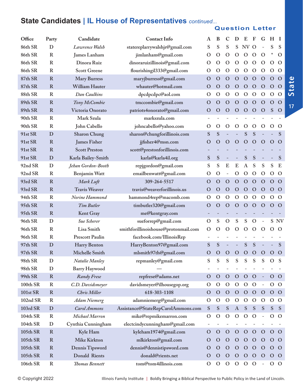#### **State Candidates | IL House of Representatives** *continued...*

#### **Question Letter**

| Office          | Party        | Candidate              | <b>Contact Info</b>                  | A             | B             | C                            | D                        | E                | F            | G                        | H              | Т              |
|-----------------|--------------|------------------------|--------------------------------------|---------------|---------------|------------------------------|--------------------------|------------------|--------------|--------------------------|----------------|----------------|
| 86th SR         | D            | Lawrence Walsh         | statereplarrywalshjr@gmail.com       | S             | S             | S                            | S                        | NV <sub></sub>   | $\Omega$     | $\overline{\phantom{0}}$ | S              | S              |
| 86th SR         | $\mathbb{R}$ | James Lanham           | jimlanham@gmail.com                  | $\mathbf O$   | $\mathbf O$   | $\mathbf O$                  | $\mathbf O$              | $\mathbf{O}$     | $\Omega$     | $\Omega$                 | *              | $\mathbf O$    |
| 86th SR         | $\mathbb{R}$ | Dinora Ruiz            | dinoraruizillinois@gmail.com         | $\Omega$      | $\mathcal{O}$ | $\mathbf O$                  | $\Omega$                 | $\mathbf O$      | $\Omega$     | $\mathbf{O}$             | $\mathbf{O}$   | $\Omega$       |
| 86th SR         | $\mathbf R$  | <b>Scott Greene</b>    | flourishingil333@gmail.com           | $\mathbf O$   | $\mathbf O$   | $\Omega$                     | $\mathcal{O}$            | $\Omega$         | $\Omega$     | $\Omega$                 | $\mathcal{O}$  | $\Omega$       |
| 87th SR         | $\mathbf R$  | <b>Mary Burress</b>    | maryjburress@gmail.com               | $\mathbf O$   | $\mathbf O$   | $\mathbf O$                  | $\mathbf O$              | $\mathbf O$      | $\Omega$     | $\mathbf O$              | $\Omega$       | $\Omega$       |
| 87th SR         | $\mathbf R$  | William Hauter         | whauter@hotmail.com                  | O             | $\Omega$      | $\Omega$                     | $\mathbf O$              | $\Omega$         | $\Omega$     | $\mathbf{O}$             | $\Omega$       | $\mathbf O$    |
| 88th SR         | $\mathbf R$  | Dan Caulkins           | dpcdpcdpc@aol.com                    | $\mathbf O$   | $\mathbf O$   | $\Omega$                     | $\Omega$                 | $\mathbf O$      | $\Omega$     | $\Omega$                 | $\Omega$       | $\Omega$       |
| 89th SR         | $\mathbf R$  | Tony McCombie          | tmccombie@gmail.com                  | $\mathbf O$   | $\mathbf O$   | $\mathbf O$                  | $\mathbf O$              | $\mathbf O$      | $\Omega$     | $\mathbf O$              | $\Omega$       | $\Omega$       |
| 89th SR         | $\mathbf R$  | Victoria Onorato       | patriots4onorato@gmail.com           | $\mathbf O$   | $\Omega$      | $\mathbf{O}$                 | $\mathbf O$              | $\mathbf{O}$     | $\Omega$     | $\mathbf{O}$             | S              | $\Omega$       |
| 90th SR         | $\mathbf R$  | Mark Szula             | markszula.com                        |               |               |                              |                          |                  |              |                          |                |                |
| 90th SR         | $\mathbb{R}$ | John Cabello           | johncabello@yahoo.com                | $\mathbf O$   | $\mathbf O$   | $\mathbf{O}$                 | $\mathbf O$              | $\mathbf O$      | $\mathbf O$  | $\mathbf O$              | $\mathbf O$    | $\Omega$       |
| 91st SR         | D            | <b>Sharon Chung</b>    | sharon@chungforillinois.com          | S             | S             |                              |                          | S                | S            |                          |                | S              |
| 91st SR         | $\mathbf R$  | <b>James Fisher</b>    | jjfisher4@msn.com                    | $\mathbf O$   | $\mathbf O$   | $\Omega$                     | $\mathbf O$              | $\mathbf O$      | $\Omega$     | $\Omega$                 | $\Omega$       | $\Omega$       |
| 91st SR         | $\mathbf R$  | <b>Scott Preston</b>   | scott@prestonforillinois.com         |               |               |                              |                          |                  |              |                          |                |                |
| 91st SR         | D            | Karla Bailey-Smith     | karla@karla4il.org                   | ${\bf S}$     | S             | $\overline{\phantom{0}}$     | $\overline{\phantom{a}}$ | S                | ${\bf S}$    | $\overline{a}$           |                | S              |
| 92nd SR         | D            | Jehan Gordon-Booth     | repjgordon@gmail.com                 | S             | S             | E                            | E                        | $\boldsymbol{A}$ | S            | S                        | S              | E              |
| 92nd SR         | $\mathbb{R}$ | Benjamin Watt          | emailbenwatt@gmail.com               | $\mathbf O$   | $\mathbf O$   | $\qquad \qquad \blacksquare$ | $\mathbf O$              | $\mathbf{O}$     | $\Omega$     | $\mathbf{O}$             | $\mathbf O$    | $\mathcal{O}$  |
| 93rd SR         | $\mathbf R$  | Mark Luft              | 309-264-5517                         | $\Omega$      | $\mathbf{O}$  | $\mathbf O$                  | $\mathbf{O}$             | $\mathbf{O}$     | $\Omega$     | $\mathbf{O}$             | $\Omega$       | $\Omega$       |
| 93rd SR         | $\mathbf R$  | <b>Travis Weaver</b>   | travis@weaverforillinois.us          | $\mathbf O$   | $\mathbf O$   | $\Omega$                     | $\mathbf O$              | $\mathbf O$      | $\Omega$     | $\mathbf{O}$             | $\Omega$       | $\Omega$       |
| 94th SR         | $\mathbf R$  | Norine Hammond         | hammond4rep@macomb.com               | $\mathbf O$   | $\mathbf O$   | $\mathbf O$                  | $\mathbf O$              | $\mathbf O$      | $\mathbf O$  | $\mathbf O$              | $\mathbf O$    | $\mathbf O$    |
| 95th SR         | $\mathbf R$  | <b>Tim Butler</b>      | timbutler320@gmail.com               | $\mathbf{O}$  | $\mathbf O$   | $\Omega$                     | $\mathbf O$              | $\mathbf{O}$     | $\Omega$     | $\mathbf{O}$             | $\Omega$       | $\Omega$       |
| 95th SR         | $\mathbf R$  | Kent Gray              | me@kentgray.com                      |               |               |                              |                          |                  |              |                          |                |                |
| 96th SR         | D            | Sue Scherer            | sueforrep@gmail.com                  | $\mathcal{O}$ | S             | $\mathcal{O}$                | ${\bf S}$                | ${\mathbf S}$    | $\Omega$     | $\overline{a}$           |                | S NV           |
| 96th SR         | $\mathbf R$  | Lisa Smith             | smithforillinoishouse@protonmail.com | $\Omega$      | $\Omega$      | $\mathcal{O}$                | $\mathcal{O}$            | $\mathbf O$      | $\Omega$     | $\mathbf{O}$             | $\Omega$       | $\Omega$       |
| 96th SR         | $\mathbf R$  | <b>Prescott Paulin</b> | facebook.com/IllinoisRep             |               |               |                              |                          |                  |              |                          |                |                |
| 97th SR         | D            | Harry Benton           | HarryBenton97@gmail.com              | ${\bf S}$     | S             |                              |                          | S                | S            |                          |                | S              |
| 97th SR         | $\mathbf R$  | Michelle Smith         | mlsmith97th@gmail.com                | O             | $\Omega$      | $\Omega$                     | $\mathbf O$              | $\mathbf{O}$     | $\Omega$     | $\mathbf{O}$             | $\Omega$       | $\mathbf O$    |
| 98th SR         | D            | Natalie Manley         | repmanley@gmail.com                  | S             | S             | S                            | S                        | S                | S            | S                        | $\mathbf{O}$   | S              |
| 98th SR         | D            | <b>Barry Haywood</b>   |                                      |               |               |                              |                          |                  |              |                          |                |                |
| 99th SR         | $\mathbf R$  | <b>Randy Frese</b>     | repfrese@adams.net                   | $\mathbf O$   | $\mathbf O$   | $\mathbf{O}$                 | $\mathbf O$              | $\mathbf O$      | $\mathbf O$  |                          | $\overline{O}$ | $\mathbf{O}$   |
| <b>100th SR</b> | $\mathbf R$  | C.D. Davidsmeyer       | davidsmeyer@ilhousegop.org           | $\Omega$      | $\mathbf O$   | $\mathcal{O}$                | $\mathbf O$              | $\mathbf{O}$     | $\Omega$     | $\overline{\phantom{0}}$ | $\mathcal{O}$  | $\Omega$       |
| <b>101st SR</b> | $\mathbf R$  | Chris Miller           | 618-303-1108                         | $\mathbf O$   | $\mathbf O$   | $\mathbf O$                  | $\mathbf O$              | $\mathbf{O}$     | $\mathbf{O}$ | $\mathbf{O}$             | $O$ O          |                |
| 102nd SR        | $\mathbf R$  | <b>Adam Niemerg</b>    | adamniemerg@gmail.com                | $\circ$       | $\mathcal{O}$ | $\mathbf{O}$                 | $\mathbf O$              | $\mathbf{O}$     | $\mathbf O$  | $\mathbf{O}$             | $\mathcal{O}$  | $\mathbf O$    |
| 103rd SR        | D            | <b>Carol Ammons</b>    | Assistance@StateRepCarolAmmons.com   | S             | S             | ${\bf S}$                    | $\boldsymbol{A}$         | ${\bf S}$        | ${\bf S}$    | S                        | ${\bf S}$      | S              |
| 104th SR        | $\mathbf R$  | Michael Marron         | mike@repmikemarron.com               | $\mathbf{O}$  | $\mathcal{O}$ | $\mathbf{O}$                 | $\mathbf O$              | $\mathbf{O}$     | $\Omega$     |                          | $\overline{O}$ | $\Omega$       |
| 104th SR        | D            | Cynthia Cunningham     | electcindycunningham@gmail.com       |               |               |                              |                          |                  |              |                          |                |                |
| 105th SR        | $\mathbf R$  | Kyle Ham               | kyleham1974@gmail.com                | $\mathbf{O}$  | $\mathbf O$   | $\mathbf O$                  | $\mathbf O$              | $\mathbf{O}$     | $\mathbf O$  | $\mathbf{O}$             | $\mathbf{O}$   | $\Omega$       |
| 105th SR        | $\mathbf R$  | Mike Kirkton           | mlkirkton@gmail.com                  | O             | $\mathbf O$   | $\Omega$                     | $\Omega$                 | $\circ$          | $\Omega$     | $\mathbf{O}$             | $\mathbf{O}$   | $\Omega$       |
| 105th SR        | $\mathbf R$  | Dennis Tipsword        | dennis@dennistipsword.com            | O             | $\mathbf{O}$  | $\mathbf{O}$                 | $\mathbf O$              | $\mathbf{O}$     | $\Omega$     | $\mathbf O$              | $\mathbf{O}$   | $\mathbf O$    |
| 105th SR        | $\mathbf R$  | Donald Rients          | donald@rients.net                    | Ő             | $\mathbf O$   | $\mathbf{O}$                 | $\mathbf O$              | $\mathbf{O}$     | $\Omega$     | $\mathbf{O}$             | $\mathbf{O}$   | $\overline{O}$ |
| <b>106th SR</b> | $\mathbf R$  | Thomas Bennett         | tom@tom4illinois.com                 | $\mathbf{O}$  | $\mathbf{O}$  | $\mathbf{O}$                 | $\mathcal{O}$            | $\overline{O}$   | $\Omega$     | $\overline{\phantom{0}}$ | $O$ O          |                |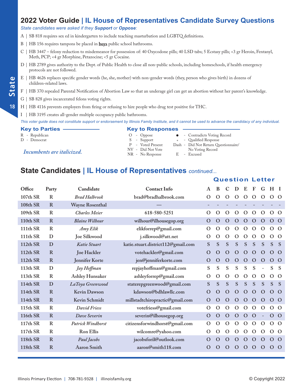#### *State candidates were asked if they Support or Oppose:*

- A | SB 818 requires sex ed in kindergarten to include teaching masturbation and LGBTQ definitions.
- B | HB 156 requires tampons be placed in **boys** public school bathrooms.
- C | HB 3447 felony reduction to misdemeanor for possession of: 40 Oxycodone pills; 40 LSD tabs; 5 Ecstasy pills; <3 gr Heroin, Fentanyl, Meth, PCP; <4 gr Morphine, Petazocine; <5 gr Cocaine.
- D | HB 2789 gives authority to the Dept. of Public Health to close all non-public schools, including homeschools, if health emergency protocols are not followed.
- E | HB 4626 replaces specific gender words (he, she, mother) with non-gender words (they, person who gives birth) in dozens of children-related laws.
- F | HB 370 repealed Parental Notification of Abortion Law so that an underage girl can get an abortion without her parent's knowledge.
- G | SB 828 gives incarcerated felons voting rights.

**State**

**18**

- H | HB 4116 prevents employers from firing or refusing to hire people who drug test positive for THC.
- I | HB 3195 creates all-gender multiple occupancy public bathrooms.

*This voter guide does not constitute support or endorsement by Illinois Family Institute, and it cannot be used to advance the candidacy of any individual.*

**Key to Parties Key to Responses** R - Republican O - Oppose l - Contradicts Voting Record D - Democrat S - Support \* - Qualified Response P - Voted Present Dash - Did Not Return Questionnaire/ *Incumbents are italicized.* NV - Did Not Vote No Voting Record<br>
NR - No Response B - Excused

#### **State Candidates | IL House of Representatives** *continued...*

| Office               | Party        | Candidate              | <b>Contact Info</b>                | A            | B             | C             | D             | E             | F             | G                        | $H$ I        |                |
|----------------------|--------------|------------------------|------------------------------------|--------------|---------------|---------------|---------------|---------------|---------------|--------------------------|--------------|----------------|
| 107th SR             | $\mathbf R$  | <b>Brad Halbrook</b>   | brad@bradhalbrook.com              | O            | $\Omega$      | $\Omega$      | $\Omega$      | $\Omega$      | $\Omega$      | $\Omega$                 | $\Omega$     | $\Omega$       |
| <b>108th SR</b>      | $\mathbf R$  | <b>Wayne Rosenthal</b> |                                    |              |               |               |               |               |               |                          |              |                |
| 109th SR             | R            | <b>Charles Meier</b>   | 618-580-5251                       | $\Omega$     | $\Omega$      | $\Omega$      | $\Omega$      | $\Omega$      | $\Omega$      | $\Omega$                 | $\Omega$     | $\Omega$       |
| <b>110th SR</b>      | R            | <b>Blaine Wilhour</b>  | wilhour@ilhousegop.org             | $\mathbf O$  | $\mathbf O$   | $\Omega$      | $\mathbf O$   | $\Omega$      | $\mathbf{O}$  | $\Omega$                 | $\Omega$     | $\mathbf{O}$   |
| 111th SR             | $\mathbb{R}$ | Amy Elik               | elikforrep@gmail.com               | O            | $\mathbf O$   | $\Omega$      | $\mathcal{O}$ | $\mathcal{O}$ | $\mathcal{O}$ | $\mathcal{O}$            | $\mathbf{O}$ | $\Omega$       |
| 111th SR             | D            | Joe Silkwood           | j.silkwood@att.net                 | O            | $\mathbf O$   | $\Omega$      | $\mathbf{O}$  | $\mathcal{O}$ | $\mathbf O$   | $\Omega$                 | $\Omega$     | $\Omega$       |
| 112th SR             | D            | Katie Stuart           | katie.stuart.district112@gmail.com | S            | S             | S             | S             | S             | S             | ${\bf S}$                | S            | <sub>S</sub>   |
| 112 <sub>th</sub> SR | R            | Joe Hackler            | votehackler@gmail.com              | O            | $\Omega$      | $\Omega$      | $\Omega$      | $\Omega$      | $\Omega$      | $\Omega$                 | $\Omega$     | $\Omega$       |
| 112th SR             | $\mathbf R$  | Jennifer Korte         | jen@jenniferkorte.com              | $\Omega$     | $\mathbf O$   | $\mathbf O$   | $\Omega$      | $\mathbf O$   | $\mathbf{O}$  | $\mathbf O$              | $\mathbf{O}$ | $\overline{O}$ |
| 113th SR             | D            | Jay Hoffman            | repjayhoffman@gmail.com            | S            | S             | S             | ${\bf S}$     | S             | S             | $\overline{\phantom{a}}$ | S            | <sub>S</sub>   |
| 113th SR             | $\bf R$      | <b>Ashley Hunsaker</b> | ashleyforrep@gmail.com             | O            | $\mathbf O$   | $\Omega$      | $\Omega$      | $\Omega$      | $\Omega$      | $\Omega$                 | $\Omega$     | $\Omega$       |
| 114th SR             | D            | LaToya Greenwood       | staterepgreenwood@gmail.com        | S            | S             | S             | S             | S             | S             | S                        | S            | <sub>S</sub>   |
| 114th SR             | $\mathbf R$  | <b>Kevin Dawson</b>    | kdawson@bdhlawllc.com              | $\mathbf O$  | $\mathbf O$   | $\mathbf O$   | $\mathbf O$   | $\mathbf{O}$  | $\Omega$      | $\Omega$                 | $\Omega$     | $\mathbf O$    |
| 114th SR             | R            | Kevin Schmidt          | millstadtchiropractic@gmail.com    | $\mathbf O$  | $\mathbf O$   | $\mathbf O$   | $\Omega$      | $\Omega$      | $\Omega$      | $\mathbf{O}$             | $\Omega$     | $\overline{O}$ |
| 115th SR             | $\mathbb{R}$ | David Friess           | votefriess@gmail.com               | O            | $\mathcal{O}$ | $\Omega$      | $\Omega$      | $\Omega$      | $\mathcal{O}$ | $\Omega$                 | $\Omega$     | $\Omega$       |
| <b>116th SR</b>      | R            | Dave Severin           | severin@ilhousegop.org             | $\mathbf{O}$ | $\mathbf O$   | $\mathbf O$   | $\mathbf O$   | $\mathbf O$   | $\mathbf O$   |                          | $\mathbf{O}$ | $\mathbf{O}$   |
| 117th SR             | R            | Patrick Windhorst      | citizensforwindhorst@gmail.com     | O            | $\mathbf O$   | $\mathcal{O}$ | $\Omega$      | $\mathcal{O}$ | $\mathcal{O}$ | $\mathcal{O}$            | $\Omega$     | $\Omega$       |
| 117th SR             | R            | <b>Ron Ellis</b>       | wilcomre@yahoo.com                 | O            | $\Omega$      | $\Omega$      | O             | O             | $\Omega$      | $\Omega$                 | $\Omega$     | $\Omega$       |
| 118th SR             | R            | Paul Jacobs            | jacobsforil@outlook.com            | $\Omega$     | $\rm{O}$      | $\mathbf O$   | $\Omega$      | $\Omega$      | $\Omega$      | $\Omega$                 | $\Omega$     | $\Omega$       |
| 118th SR             | $\mathbf R$  | <b>Aaron Smith</b>     | aaron@smith118.com                 | O            | O             | O             | $\Omega$      | $\Omega$      | $\mathbf O$   | $\Omega$                 | $\mathbf O$  | $\circ$        |
|                      |              |                        |                                    |              |               |               |               |               |               |                          |              |                |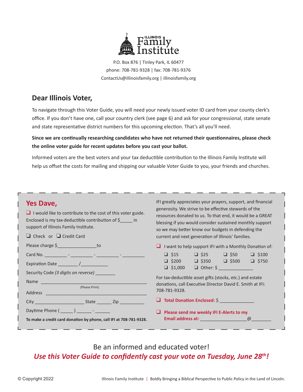

P.O. Box 876 | Tinley Park, IL 60477 phone: 708-781-9328 | fax: 708-781-9376 ContactUs@illinoisfamily.org | illinoisfamily.org

#### **Dear Illinois Voter,**

To navigate through this Voter Guide, you will need your newly issued voter ID card from your county clerk's office. If you don't have one, call your country clerk (see page 6) and ask for your congressional, state senate and state representative district numbers for this upcoming election. That's all you'll need.

**Since we are continually researching candidates who have not returned their questionnaires, please check the online voter guide for recent updates before you cast your ballot.**

Informed voters are the best voters and your tax deductible contribution to the Illinois Family Institute will help us offset the costs for mailing and shipping our valuable Voter Guide to you, your friends and churches.

#### **Yes Dave,**

| $\Box$ I would like to contribute to the cost of this voter guide.<br>Enclosed is my tax-deductible contribution of $\frac{2}{5}$ in<br>support of Illinois Family Institute.<br>$\Box$ Check or $\Box$ Credit Card | generosity. We strive to be effective stewards of the<br>resources donated to us. To that end, it would be a GREAT<br>blessing if you would consider sustained monthly support<br>so we may better know our budgets in defending the<br>current and next generation of Illinois' families.                          |  |  |  |  |  |  |  |
|---------------------------------------------------------------------------------------------------------------------------------------------------------------------------------------------------------------------|---------------------------------------------------------------------------------------------------------------------------------------------------------------------------------------------------------------------------------------------------------------------------------------------------------------------|--|--|--|--|--|--|--|
| Please charge \$                                                                                                                                                                                                    | $\Box$ I want to help support IFI with a Monthly Donation of:                                                                                                                                                                                                                                                       |  |  |  |  |  |  |  |
| Security Code (3 digits on reverse) ________<br>(Please Print)                                                                                                                                                      | $\Box$ \$15 $\Box$ \$25 $\Box$ \$50 $\Box$ \$100<br>$\Box$ \$200 $\Box$ \$350 $\Box$ \$500 $\Box$ \$750<br>$\Box$ \$1,000 $\Box$ Other: \$<br>For tax-deductible asset gifts (stocks, etc.) and estate<br>donations, call Executive Director David E. Smith at IFI:<br>708-781-9328.<br>Total Donation Enclosed: \$ |  |  |  |  |  |  |  |
|                                                                                                                                                                                                                     |                                                                                                                                                                                                                                                                                                                     |  |  |  |  |  |  |  |
| To make a credit card donation by phone, call IFI at 708-781-9328.                                                                                                                                                  | $\Box$ Please send me weekly IFI E-Alerts to my                                                                                                                                                                                                                                                                     |  |  |  |  |  |  |  |

#### Be an informed and educated voter! *Use this Voter Guide to confidently cast your vote on Tuesday, June 28th!*

IFI greatly appreciates your prayers, support, and financial